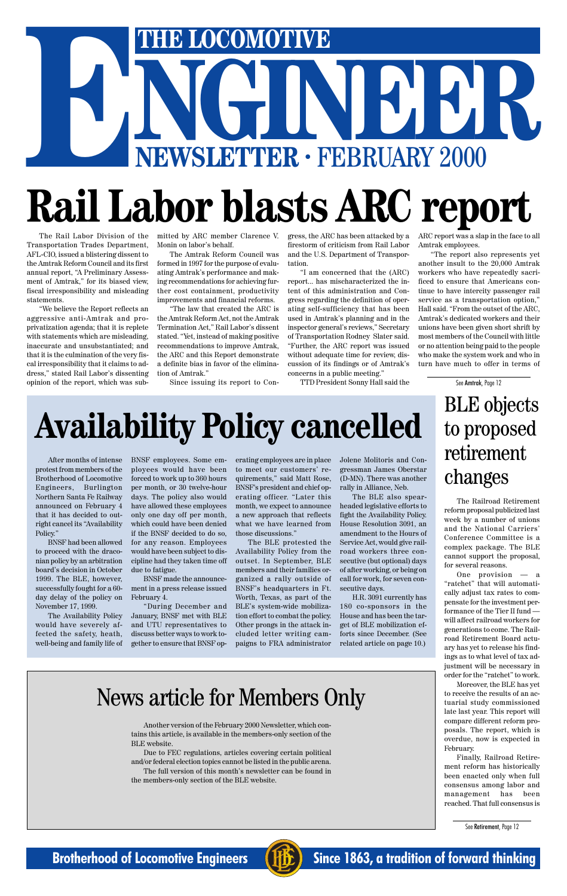# THE LOCOMOTIVE<br>
NEWSLETTER · FEBRUARY 2000 **ENERGY COMOTIVE**<br> **ENEWSLETTER · FEBRUARY 2000**<br> **Rail Labor blasts ARC rom Rail Labor blasts ARC report**

## **Availability Policy cancelled**

The Rail Labor Division of the Transportation Trades Department, AFL-CIO, issued a blistering dissent to the Amtrak Reform Council and its first annual report, "A Preliminary Assessment of Amtrak," for its biased view, fiscal irresponsibility and misleading statements.

"We believe the Report reflects an aggressive anti-Amtrak and proprivatization agenda; that it is replete with statements which are misleading, inaccurate and unsubstantiated; and that it is the culmination of the very fiscal irresponsibility that it claims to address," stated Rail Labor's dissenting opinion of the report, which was submitted by ARC member Clarence V. Monin on labor's behalf.

The Amtrak Reform Council was formed in 1997 for the purpose of evaluating Amtrak's performance and making recommendations for achieving further cost containment, productivity improvements and financial reforms.

"The law that created the ARC is the Amtrak Reform Act, not the Amtrak Termination Act," Rail Labor's dissent stated. "Yet, instead of making positive recommendations to improve Amtrak, the ARC and this Report demonstrate a definite bias in favor of the elimination of Amtrak."

Since issuing its report to Con-

firestorm of criticism from Rail Labor and the U.S. Department of Transportation.

gress, the ARC has been attacked by a ARC report was a slap in the face to all Amtrak employees.

"I am concerned that the (ARC) report... has mischaracterized the intent of this administration and Congress regarding the definition of operating self-sufficiency that has been used in Amtrak's planning and in the inspector general's reviews," Secretary of Transportation Rodney Slater said. "Further, the ARC report was issued without adequate time for review, discussion of its findings or of Amtrak's concerns in a public meeting."

TTD President Sonny Hall said the

"The report also represents yet another insult to the 20,000 Amtrak workers who have repeatedly sacrificed to ensure that Americans continue to have intercity passenger rail service as a transportation option," Hall said. "From the outset of the ARC, Amtrak's dedicated workers and their unions have been given short shrift by most members of the Council with little or no attention being paid to the people who make the system work and who in turn have much to offer in terms of

### BLE objects to proposed retirement changes

See Amtrak, Page 12

The Railroad Retirement reform proposal publicized last week by a number of unions and the National Carriers' Conference Committee is a complex package. The BLE cannot support the proposal, for several reasons.

One provision — a "ratchet" that will automatically adjust tax rates to compensate for the investment performance of the Tier II fund will affect railroad workers for generations to come. The Railroad Retirement Board actuary has yet to release his findings as to what level of tax adjustment will be necessary in order for the "ratchet" to work. Moreover, the BLE has yet to receive the results of an actuarial study commissioned late last year. This report will compare different reform proposals. The report, which is overdue, now is expected in February. Finally, Railroad Retirement reform has historically been enacted only when full consensus among labor and management has been reached. That full consensus is

See Retirement, Page 12

### **Brotherhood of Locomotive Engineers (FIFE)** Since 1863, a tradition of forward thinking



### News article for Members Only

After months of intense protest from members of the Brotherhood of Locomotive Engineers, Burlington Northern Santa Fe Railway announced on February 4 that it has decided to outright cancel its "Availability Policy."

BNSF had been allowed to proceed with the draconian policy by an arbitration board's decision in October 1999. The BLE, however, successfully fought for a 60 day delay of the policy on November 17, 1999.

The Availability Policy would have severely affected the safety, heath, well-being and family life of BNSF employees. Some employees would have been forced to work up to 360 hours per month, or 30 twelve-hour days. The policy also would have allowed these employees only one day off per month, which could have been denied if the BNSF decided to do so, for any reason. Employees would have been subject to discipline had they taken time off due to fatigue.

BNSF made the announcement in a press release issued February 4.

"During December and January, BNSF met with BLE and UTU representatives to discuss better ways to work together to ensure that BNSF op-

erating employees are in place to meet our customers' requirements," said Matt Rose, BNSF's president and chief operating officer. "Later this month, we expect to announce a new approach that reflects what we have learned from those discussions."

The BLE protested the Availability Policy from the outset. In September, BLE members and their families organized a rally outside of BNSF's headquarters in Ft. Worth, Texas, as part of the BLE's system-wide mobilization effort to combat the policy. Other prongs in the attack included letter writing campaigns to FRA administrator Jolene Molitoris and Congressman James Oberstar (D-MN). There was another rally in Alliance, Neb.

The BLE also spearheaded legislative efforts to fight the Availability Policy. House Resolution 3091, an amendment to the Hours of Service Act, would give railroad workers three consecutive (but optional) days of after working, or being on call for work, for seven consecutive days.

H.R. 3091 currently has 180 co-sponsors in the House and has been the target of BLE mobilization efforts since December. (See related article on page 10.)

Another version of the February 2000 Newsletter, which contains this article, is available in the members-only section of the BLE website.

Due to FEC regulations, articles covering certain political and/or federal election topics cannot be listed in the public arena.

The full version of this month's newsletter can be found in the members-only section of the BLE website.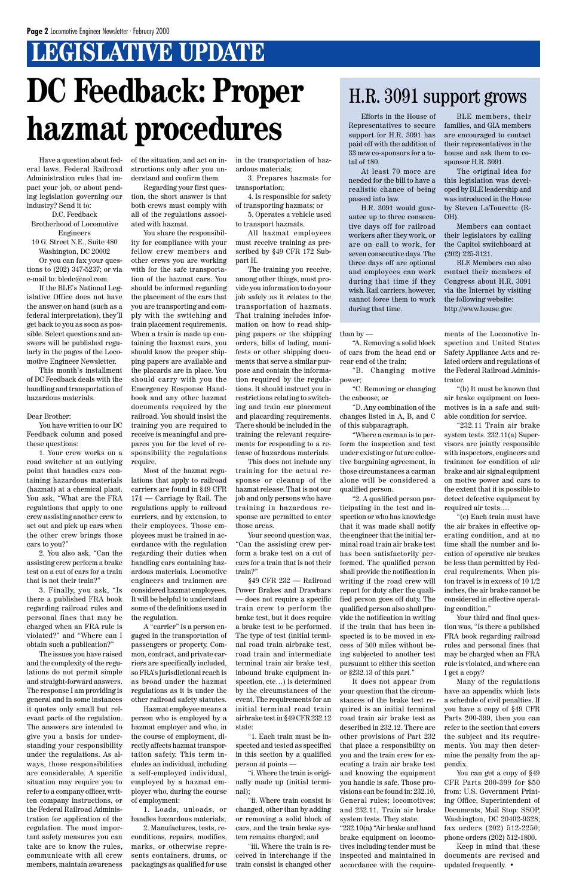Have a question about federal laws, Federal Railroad Administration rules that impact your job, or about pending legislation governing our industry? Send it to:

D.C. Feedback Brotherhood of Locomotive Engineers

10 G. Street N.E., Suite 480 Washington, DC 20002 Or you can fax your questions to (202) 347-5237; or via e-mail to: bledc@aol.com.

If the BLE's National Legislative Office does not have the answer on hand (such as a federal interpretation), they'll get back to you as soon as possible. Select questions and answers will be published regularly in the pages of the Locomotive Engineer Newsletter.

This month's installment of DC Feedback deals with the handling and transportation of hazardous materials.

#### Dear Brother:

You have written to our DC Feedback column and posed these questions:

1. Your crew works on a road switcher at an outlying point that handles cars containing hazardous materials (hazmat) at a chemical plant. You ask, "What are the FRA regulations that apply to one crew assisting another crew to set out and pick up cars when the other crew brings those cars to you?"

2. You also ask, "Can the assisting crew perform a brake test on a cut of cars for a train that is not their train?"

3. Finally, you ask, "Is there a published FRA book regarding railroad rules and personal fines that may be charged when an FRA rule is violated?" and "Where can I obtain such a publication?"

The issues you have raised

and the complexity of the regulations do not permit simple and straight-forward answers. The response I am providing is general and in some instances it quotes only small but relevant parts of the regulation. The answers are intended to give you a basis for understanding your responsibility under the regulations. As always, those responsibilities are considerable. A specific situation may require you to refer to a company officer, written company instructions, or the Federal Railroad Administration for application of the regulation. The most important safety measures you can take are to know the rules, communicate with all crew members, maintain awareness

of the situation, and act on instructions only after you understand and confirm them.

Regarding your first question, the short answer is that both crews must comply with all of the regulations associated with hazmat.

You share the responsibility for compliance with your fellow crew members and other crews you are working with for the safe transportation of the hazmat cars. You should be informed regarding the placement of the cars that you are transporting and comply with the switching and train placement requirements. When a train is made up containing the hazmat cars, you should know the proper shipping papers are available and the placards are in place. You should carry with you the Emergency Response Handbook and any other hazmat documents required by the railroad. You should insist the training you are required to receive is meaningful and prepares you for the level of responsibility the regulations require.

Most of the hazmat regulations that apply to railroad carriers are found in §49 CFR 174 — Carriage by Rail. The regulations apply to railroad carriers, and by extension, to their employees. Those employees must be trained in accordance with the regulation regarding their duties when handling cars containing hazardous materials. Locomotive engineers and trainmen are considered hazmat employees. It will be helpful to understand some of the definitions used in the regulation.

A "carrier" is a person engaged in the transportation of passengers or property. Common, contract, and private carriers are specifically included, so FRA's jurisdictional reach is as broad under the hazmat regulations as it is under the other railroad safety statutes. Hazmat employee means a person who is employed by a hazmat employer and who, in the course of employment, directly affects hazmat transportation safety. This term includes an individual, including a self-employed individual, employed by a hazmat employer who, during the course of employment:

## **LEGISLATIVE UPDATE DC Feedback: Proper hazmat procedures**

1. Loads, unloads, or handles hazardous materials;

2. Manufactures, tests, reconditions, repairs, modifies, marks, or otherwise represents containers, drums, or packagings as qualified for use in the transportation of hazardous materials;

3. Prepares hazmats for transportation;

4. Is responsible for safety of transporting hazmats; or

5. Operates a vehicle used to transport hazmats.

All hazmat employees must receive training as prescribed by §49 CFR 172 Subpart H.

The training you receive, among other things, must provide you information to do your job safely as it relates to the transportation of hazmats. That training includes information on how to read shipping papers or the shipping orders, bills of lading, manifests or other shipping documents that serve a similar purpose and contain the information required by the regulations. It should instruct you in restrictions relating to switching and train car placement and placarding requirements. There should be included in the training the relevant requirements for responding to a release of hazardous materials.

This does not include any training for the actual response or cleanup of the hazmat release. That is not our job and only persons who have training in hazardous response are permitted to enter those areas.

Your second question was, "Can the assisting crew perform a brake test on a cut of cars for a train that is not their train?"

§49 CFR 232 — Railroad Power Brakes and Drawbars — does not require a specific train crew to perform the brake test, but it does require a brake test to be performed. The type of test (initial terminal road train airbrake test, road train and intermediate terminal train air brake test, inbound brake equipment inspection, etc…) is determined by the circumstances of the event. The requirements for an initial terminal road train airbrake test in §49 CFR 232.12 state:

"1. Each train must be inspected and tested as specified in this section by a qualified person at points —

"i. Where the train is originally made up (initial terminal);

"ii. Where train consist is changed, other than by adding or removing a solid block of cars, and the train brake system remains charged; and

"iii. Where the train is received in interchange if the train consist is changed other

than by —

"A. Removing a solid block of cars from the head end or rear end of the train;

"B. Changing motive power;

"C. Removing or changing the caboose; or

"D. Any combination of the changes listed in A, B, and C of this subparagraph.

"Where a carman is to perform the inspection and test under existing or future collective bargaining agreement, in those circumstances a carman alone will be considered a qualified person.

"2. A qualified person participating in the test and inspection or who has knowledge that it was made shall notify the engineer that the initial terminal road train air brake test has been satisfactorily performed. The qualified person shall provide the notification in writing if the road crew will report for duty after the qualified person goes off duty. The qualified person also shall provide the notification in writing if the train that has been inspected is to be moved in excess of 500 miles without being subjected to another test

pursuant to either this section or §232.13 of this part."

It does not appear from your question that the circumstances of the brake test required is an initial terminal road train air brake test as described in 232.12. There are other provisions of Part 232 that place a responsibility on you and the train crew for executing a train air brake test and knowing the equipment you handle is safe. Those provisions can be found in: 232.10, General rules; locomotives; and 232.11, Train air brake system tests. They state: "232.10(a) "Air brake and hand brake equipment on locomotives including tender must be inspected and maintained in accordance with the requirements of the Locomotive Inspection and United States Safety Appliance Acts and related orders and regulations of the Federal Railroad Administrator.

"(b) It must be known that air brake equipment on locomotives is in a safe and suitable condition for service.

"232.11 Train air brake system tests. 232.11(a) Supervisors are jointly responsible with inspectors, engineers and trainmen for condition of air brake and air signal equipment on motive power and cars to the extent that it is possible to detect defective equipment by required air tests….

"(c) Each train must have the air brakes in effective operating condition, and at no time shall the number and location of operative air brakes be less than permitted by Federal requirements. When piston travel is in excess of 10 1/2 inches, the air brake cannot be considered in effective operating condition."

Your third and final question was, "Is there a published FRA book regarding railroad rules and personal fines that may be charged when an FRA

rule is violated, and where can I get a copy?

Many of the regulations have an appendix which lists a schedule of civil penalties. If you have a copy of §49 CFR Parts 200-399, then you can refer to the section that covers the subject and its requirements. You may then determine the penalty from the appendix.

You can get a copy of §49 CFR Parts 200-399 for \$50 from: U.S. Government Printing Office, Superintendent of Documents, Mail Stop: SSOP, Washington, DC 20402-9328; fax orders (202) 512-2250; phone orders (202) 512-1800.

Keep in mind that these documents are revised and updated frequently. •

### H.R. 3091 support grows

Efforts in the House of Representatives to secure support for H.R. 3091 has paid off with the addition of 33 new co-sponsors for a total of 180.

At least 70 more are needed for the bill to have a realistic chance of being passed into law.

H.R. 3091 would guarantee up to three consecutive days off for railroad workers after they work, or are on call to work, for seven consecutive days. The three days off are optional and employees can work during that time if they wish. Rail carriers, however, cannot force them to work during that time.

BLE members, their families, and GIA members are encouraged to contact their representatives in the house and ask them to cosponsor H.R. 3091.

The original idea for this legislation was developed by BLE leadership and was introduced in the House by Steven LaTourette (R-OH).

Members can contact their legislators by calling the Capitol switchboard at (202) 225-3121.

BLE Members can also contact their members of Congress about H.R. 3091 via the Internet by visiting the following website: http://www.house.gov.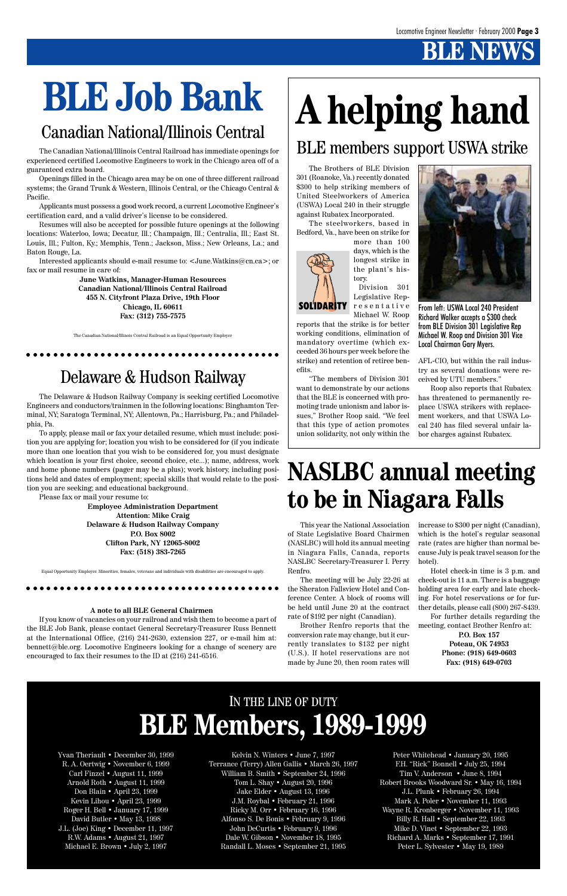Yvan Theriault • December 30, 1999 R. A. Oertwig • November 6, 1999 Carl Finzel • August 11, 1999 Arnold Roth • August 11, 1999 Don Blain • April 23, 1999 Kevin Lihou • April 23, 1999 Roger H. Bell • January 17, 1999 David Butler • May 13, 1998 J.L. (Joe) King • December 11, 1997 R.W. Adams • August 21, 1997 Michael E. Brown • July 2, 1997

Kelvin N. Winters • June 7, 1997 Terrance (Terry) Allen Gallis • March 26, 1997 William B. Smith • September 24, 1996 Tom L. Shay • August 20, 1996 Jake Elder • August 13, 1996 J.M. Roybal • February 21, 1996 Ricky M. Orr • February 16, 1996 Alfonso S. De Bonis • February 9, 1996 John DeCurtis • February 9, 1996 Dale W. Gibson • November 18, 1995 Randall L. Moses • September 21, 1995

### IN THE LINE OF DUTY **BLE Members, 1989-1999**

Peter Whitehead • January 20, 1995 F.H. "Rick" Bonnell • July 25, 1994 Tim V. Anderson • June 8, 1994 Robert Brooks Woodward Sr. • May 16, 1994 J.L. Plunk • February 26, 1994 Mark A. Poler • November 11, 1993 Wayne R. Kronberger • November 11, 1993 Billy R. Hall • September 22, 1993 Mike D. Vinet • September 22, 1993 Richard A. Marks • September 17, 1991 Peter L. Sylvester • May 19, 1989

## **A helping hand**

The Brothers of BLE Division 301 (Roanoke, Va.) recently donated \$300 to help striking members of United Steelworkers of America (USWA) Local 240 in their struggle against Rubatex Incorporated.

The steelworkers, based in Bedford, Va., have been on strike for

more than 100 days, which is the longest strike in the plant's history.

Division 301 Legislative Representative Michael W. Roop

reports that the strike is for better working conditions, elimination of mandatory overtime (which exceeded 36 hours per week before the strike) and retention of retiree benefits.

**SOLIDARITY** 

"The members of Division 301 want to demonstrate by our actions that the BLE is concerned with promoting trade unionism and labor issues," Brother Roop said. "We feel that this type of action promotes union solidarity, not only within the



From left: USWA Local 240 President Richard Walker accepts a \$300 check from BLE Division 301 Legislative Rep Michael W. Roop and Division 301 Vice Local Chairman Gary Myers.

AFL-CIO, but within the rail industry as several donations were received by UTU members."

Roop also reports that Rubatex has threatened to permanently replace USWA strikers with replacement workers, and that USWA Local 240 has filed several unfair labor charges against Rubatex.

## **BLE Job Bank**

### Canadian National/Illinois Central

The Canadian National/Illinois Central Railroad has immediate openings for experienced certified Locomotive Engineers to work in the Chicago area off of a guaranteed extra board.

Openings filled in the Chicago area may be on one of three different railroad systems; the Grand Trunk & Western, Illinois Central, or the Chicago Central & Pacific.

Applicants must possess a good work record, a current Locomotive Engineer's certification card, and a valid driver's license to be considered.

Resumes will also be accepted for possible future openings at the following locations: Waterloo, Iowa; Decatur, Ill.; Champaign, Ill.; Centralia, Ill.; East St. Louis, Ill.; Fulton, Ky.; Memphis, Tenn.; Jackson, Miss.; New Orleans, La.; and Baton Rouge, La.

Interested applicants should e-mail resume to: <June.Watkins@cn.ca>; or fax or mail resume in care of:

**June Watkins, Manager-Human Resources Canadian National/Illinois Central Railroad 455 N. Cityfront Plaza Drive, 19th Floor Chicago, IL 60611 Fax: (312) 755-7575**

The Canadian National/Illinois Central Railroad is an Equal Opportunity Employer

aaaaaaaaaaaaaaaa aaaaaaaaaaaaaaaaaaaaaa

### Delaware & Hudson Railway

The Delaware & Hudson Railway Company is seeking certified Locomotive Engineers and conductors/trainmen in the following locations: Binghamton Terminal, NY; Saratoga Terminal, NY; Allentown, Pa.; Harrisburg, Pa.; and Philadelphia, Pa.

To apply, please mail or fax your detailed resume, which must include: position you are applying for; location you wish to be considered for (if you indicate more than one location that you wish to be considered for, you must designate which location is your first choice, second choice, etc...); name, address, work and home phone numbers (pager may be a plus); work history, including positions held and dates of employment; special skills that would relate to the position you are seeking; and educational background.

Please fax or mail your resume to:

**Employee Administration Department Attention: Mike Craig Delaware & Hudson Railway Company P.O. Box 8002 Clifton Park, NY 12065-8002 Fax: (518) 383-7265**

Equal Opportunity Employer. Minorities, females, veterans and individuals with disabilities are encouraged to apply.

aaaaaaaaaaaaaaaa aaaaaaaaaaaaaaaaaaaaaa

#### **A note to all BLE General Chairmen**

If you know of vacancies on your railroad and wish them to become a part of the BLE Job Bank, please contact General Secretary-Treasurer Russ Bennett at the International Office, (216) 241-2630, extension 227, or e-mail him at: bennett@ble.org. Locomotive Engineers looking for a change of scenery are encouraged to fax their resumes to the ID at (216) 241-6516.

### BLE members support USWA strike

### **NASLBC annual meeting to be in Niagara Falls**

This year the National Association of State Legislative Board Chairmen (NASLBC) will hold its annual meeting in Niagara Falls, Canada, reports NASLBC Secretary-Treasurer I. Perry Renfro.

The meeting will be July 22-26 at the Sheraton Fallsview Hotel and Conference Center. A block of rooms will be held until June 20 at the contract rate of \$192 per night (Canadian).

Brother Renfro reports that the conversion rate may change, but it currently translates to \$132 per night (U.S.). If hotel reservations are not

made by June 20, then room rates will

increase to \$300 per night (Canadian), which is the hotel's regular seasonal rate (rates are higher than normal because July is peak travel season for the hotel).

Hotel check-in time is 3 p.m. and check-out is 11 a.m. There is a baggage holding area for early and late checking. For hotel reservations or for further details, please call (800) 267-8439.

For further details regarding the meeting, contact Brother Renfro at:

**P.O. Box 157 Poteau, OK 74953 Phone: (918) 649-0603**

**Fax: (918) 649-0703**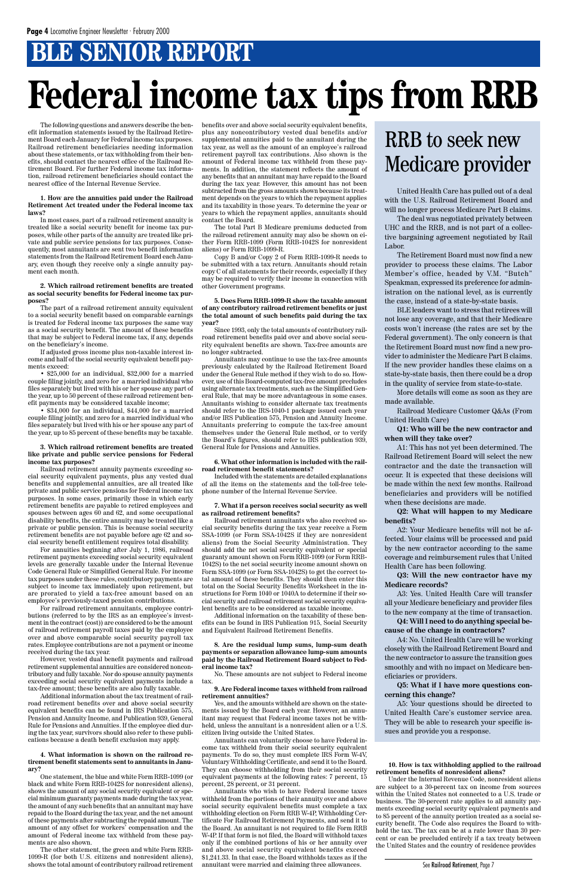### **BLE SENIOR REPORT**

## **Federal income tax tips from RRB**

The following questions and answers describe the benefit information statements issued by the Railroad Retirement Board each January for Federal income tax purposes. Railroad retirement beneficiaries needing information about these statements, or tax withholding from their benefits, should contact the nearest office of the Railroad Retirement Board. For further Federal income tax information, railroad retirement beneficiaries should contact the nearest office of the Internal Revenue Service.

#### **1. How are the annuities paid under the Railroad Retirement Act treated under the Federal income tax laws?**

In most cases, part of a railroad retirement annuity is treated like a social security benefit for income tax purposes, while other parts of the annuity are treated like private and public service pensions for tax purposes. Consequently, most annuitants are sent two benefit information statements from the Railroad Retirement Board each January, even though they receive only a single annuity payment each month.

#### **2. Which railroad retirement benefits are treated as social security benefits for Federal income tax purposes?**

The part of a railroad retirement annuity equivalent to a social security benefit based on comparable earnings is treated for Federal income tax purposes the same way as a social security benefit. The amount of these benefits that may be subject to Federal income tax, if any, depends on the beneficiary's income.

If adjusted gross income plus non-taxable interest income and half of the social security equivalent benefit payments exceed:

• \$25,000 for an individual, \$32,000 for a married couple filing jointly, and zero for a married individual who files separately but lived with his or her spouse any part of the year, up to 50 percent of these railroad retirement benefit payments may be considered taxable income;

• \$34,000 for an individual, \$44,000 for a married couple filing jointly, and zero for a married individual who files separately but lived with his or her spouse any part of the year, up to 85 percent of these benefits may be taxable.

#### **3. Which railroad retirement benefits are treated like private and public service pensions for Federal income tax purposes?**

Railroad retirement annuity payments exceeding social security equivalent payments, plus any vested dual benefits and supplemental annuities, are all treated like private and public service pensions for Federal income tax purposes. In some cases, primarily those in which early retirement benefits are payable to retired employees and spouses between ages 60 and 62, and some occupational disability benefits, the entire annuity may be treated like a private or public pension. This is because social security retirement benefits are not payable before age 62 and social security benefit entitlement requires total disability.

For annuities beginning after July 1, 1986, railroad retirement payments exceeding social security equivalent levels are generally taxable under the Internal Revenue Code General Rule or Simplified General Rule. For income tax purposes under these rules, contributory payments are subject to income tax immediately upon retirement, but are prorated to yield a tax-free amount based on an employee's previously-taxed pension contributions.

For railroad retirement annuitants, employee contributions (referred to by the IRS as an employee's investment in the contract (cost)) are considered to be the amount of railroad retirement payroll taxes paid by the employee over and above comparable social security payroll tax rates. Employee contributions are not a payment or income received during the tax year.

However, vested dual benefit payments and railroad retirement supplemental annuities are considered noncontributory and fully taxable. Nor do spouse annuity payments exceeding social security equivalent payments include a tax-free amount; these benefits are also fully taxable.

Additional information about the tax treatment of railroad retirement benefits over and above social security equivalent benefits can be found in IRS Publication 575, Pension and Annuity Income, and Publication 939, General Rule for Pensions and Annuities. If the employee died during the tax year, survivors should also refer to these publications because a death benefit exclusion may apply.

#### **4. What information is shown on the railroad retirement benefit statements sent to annuitants in January?**

One statement, the blue and white Form RRB-1099 (or black and white Form RRB-1042S for nonresident aliens), shows the amount of any social security equivalent or special minimum guaranty payments made during the tax year, the amount of any such benefits that an annuitant may have repaid to the Board during the tax year, and the net amount of these payments after subtracting the repaid amount. The amount of any offset for workers' compensation and the amount of Federal income tax withheld from these payments are also shown.

The other statement, the green and white Form RRB-1099-R (for both U.S. citizens and nonresident aliens), shows the total amount of contributory railroad retirement benefits over and above social security equivalent benefits, plus any noncontributory vested dual benefits and/or supplemental annuities paid to the annuitant during the tax year, as well as the amount of an employee's railroad retirement payroll tax contributions. Also shown is the amount of Federal income tax withheld from these payments. In addition, the statement reflects the amount of any benefits that an annuitant may have repaid to the Board during the tax year. However, this amount has not been subtracted from the gross amounts shown because its treatment depends on the years to which the repayment applies and its taxability in those years. To determine the year or years to which the repayment applies, annuitants should contact the Board.

The total Part B Medicare premiums deducted from the railroad retirement annuity may also be shown on either Form RRB-1099 (Form RRB-1042S for nonresident aliens) or Form RRB-1099-R.

Copy B and/or Copy 2 of Form RRB-1099-R needs to be submitted with a tax return. Annuitants should retain copy C of all statements for their records, especially if they may be required to verify their income in connection with other Government programs.

#### **5. Does Form RRB-1099-R show the taxable amount of any contributory railroad retirement benefits or just the total amount of such benefits paid during the tax year?**

Since 1993, only the total amounts of contributory railroad retirement benefits paid over and above social security equivalent benefits are shown. Tax-free amounts are no longer subtracted.

Annuitants may continue to use the tax-free amounts previously calculated by the Railroad Retirement Board under the General Rule method if they wish to do so. However, use of this Board-computed tax-free amount precludes using alternate tax treatments, such as the Simplified General Rule, that may be more advantageous in some cases. Annuitants wishing to consider alternate tax treatments should refer to the IRS-1040-1 package issued each year and/or IRS Publication 575, Pension and Annuity Income. Annuitants preferring to compute the tax-free amount themselves under the General Rule method, or to verify the Board's figures, should refer to IRS publication 939, General Rule for Pensions and Annuities.

#### **6. What other information is included with the railroad retirement benefit statements?**

Included with the statements are detailed explanations of all the items on the statements and the toll-free telephone number of the Internal Revenue Service.

#### **7. What if a person receives social security as well as railroad retirement benefits?**

Railroad retirement annuitants who also received social security benefits during the tax year receive a Form SSA-1099 (or Form SSA-1042S if they are nonresident aliens) from the Social Security Administration. They should add the net social security equivalent or special guaranty amount shown on Form RRB-1099 (or Form RRB-1042S) to the net social security income amount shown on Form SSA-1099 (or Form SSA-1042S) to get the correct total amount of these benefits. They should then enter this total on the Social Security Benefits Worksheet in the instructions for Form 1040 or 1040A to determine if their social security and railroad retirement social security equivalent benefits are to be considered as taxable income.

Additional information on the taxability of these benefits can be found in IRS Publication 915, Social Security and Equivalent Railroad Retirement Benefits.

#### **8. Are the residual lump sums, lump-sum death payments or separation allowance lump-sum amounts**

**paid by the Railroad Retirement Board subject to Federal income tax?**

No. These amounts are not subject to Federal income tax.

#### **9. Are Federal income taxes withheld from railroad retirement annuities?**

Yes, and the amounts withheld are shown on the statements issued by the Board each year. However, an annuitant may request that Federal income taxes not be withheld, unless the annuitant is a nonresident alien or a U.S. citizen living outside the United States.

Annuitants can voluntarily choose to have Federal income tax withheld from their social security equivalent payments. To do so, they must complete IRS Form W-4V, Voluntary Withholding Certificate, and send it to the Board. They can choose withholding from their social security equivalent payments at the following rates: 7 percent, 15 percent, 28 percent, or 31 percent.

Annuitants who wish to have Federal income taxes withheld from the portions of their annuity over and above social security equivalent benefits must complete a tax withholding election on Form RRB W-4P, Withholding Certificate For Railroad Retirement Payments, and send it to the Board. An annuitant is not required to file Form RRB W-4P. If that form is not filed, the Board will withhold taxes only if the combined portions of his or her annuity over and above social security equivalent benefits exceed \$1,241.33. In that case, the Board withholds taxes as if the annuitant were married and claiming three allowances.

United Health Care has pulled out of a deal with the U.S. Railroad Retirement Board and will no longer process Medicare Part B claims.

The deal was negotiated privately between UHC and the RRB, and is not part of a collective bargaining agreement negotiated by Rail Labor.

The Retirement Board must now find a new provider to process these claims. The Labor Member's office, headed by V.M. "Butch" Speakman, expressed its preference for administration on the national level, as is currently the case, instead of a state-by-state basis.

BLE leaders want to stress that retirees will not lose any coverage, and that their Medicare costs won't increase (the rates are set by the Federal government). The only concern is that the Retirement Board must now find a new provider to administer the Medicare Part B claims. If the new provider handles these claims on a state-by-state basis, then there could be a drop in the quality of service from state-to-state.

More details will come as soon as they are made available.

Railroad Medicare Customer Q&As (From United Health Care)

#### **Q1: Who will be the new contractor and when will they take over?**

A1: This has not yet been determined. The Railroad Retirement Board will select the new contractor and the date the transaction will occur. It is expected that these decisions will be made within the next few months. Railroad beneficiaries and providers will be notified when these decisions are made.

**Q2: What will happen to my Medicare benefits?**

A2: Your Medicare benefits will not be affected. Your claims will be processed and paid by the new contractor according to the same coverage and reimbursement rules that United Health Care has been following.

**Q3: Will the new contractor have my Medicare records?**

A3: Yes. United Health Care will transfer all your Medicare beneficiary and provider files to the new company at the time of transaction.

**Q4: Will I need to do anything special because of the change in contractors?**

A4: No. United Health Care will be working closely with the Railroad Retirement Board and the new contractor to assure the transition goes smoothly and with no impact on Medicare beneficiaries or providers.

**Q5: What if I have more questions concerning this change?**

A5: Your questions should be directed to United Health Care's customer service area. They will be able to research your specific issues and provide you a response.

### RRB to seek new Medicare provider

**10. How is tax withholding applied to the railroad retirement benefits of nonresident aliens?**

Under the Internal Revenue Code, nonresident aliens are subject to a 30-percent tax on income from sources within the United States not connected to a U.S. trade or business. The 30-percent rate applies to all annuity payments exceeding social security equivalent payments and to 85 percent of the annuity portion treated as a social security benefit. The Code also requires the Board to withhold the tax. The tax can be at a rate lower than 30 percent or can be precluded entirely if a tax treaty between the United States and the country of residence provides

See Railroad Retirement, Page 7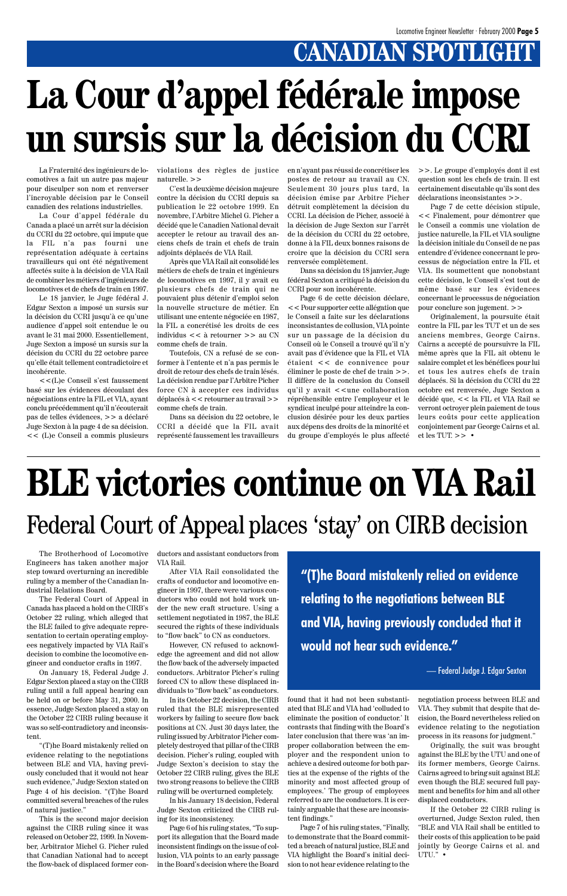The Brotherhood of Locomotive Engineers has taken another major step toward overturning an incredible ruling by a member of the Canadian Industrial Relations Board.

The Federal Court of Appeal in Canada has placed a hold on the CIRB's October 22 ruling, which alleged that the BLE failed to give adequate representation to certain operating employees negatively impacted by VIA Rail's decision to combine the locomotive en-

gineer and conductor crafts in 1997.

On January 18, Federal Judge J. Edgar Sexton placed a stay on the CIRB ruling until a full appeal hearing can be held on or before May 31, 2000. In essence, Judge Sexton placed a stay on the October 22 CIRB ruling because it was so self-contradictory and inconsistent.

"(T)he Board mistakenly relied on evidence relating to the negotiations between BLE and VIA, having previously concluded that it would not hear such evidence," Judge Sexton stated on Page 4 of his decision. "(T)he Board committed several breaches of the rules of natural justice."

This is the second major decision against the CIRB ruling since it was released on October 22, 1999. In November, Arbitrator Michel G. Picher ruled that Canadian National had to accept the flow-back of displaced former conductors and assistant conductors from VIA Rail.

After VIA Rail consolidated the crafts of conductor and locomotive engineer in 1997, there were various conductors who could not hold work under the new craft structure. Using a settlement negotiated in 1987, the BLE secured the rights of these individuals to "flow back" to CN as conductors.

However, CN refused to acknowledge the agreement and did not allow

the flow back of the adversely impacted conductors. Arbitrator Picher's ruling forced CN to allow these displaced individuals to "flow back" as conductors.

In its October 22 decision, the CIRB ruled that the BLE misrepresented workers by failing to secure flow back positions at CN. Just 30 days later, the ruling issued by Arbitrator Picher completely destroyed that pillar of the CIRB decision. Picher's ruling, coupled with Judge Sexton's decision to stay the October 22 CIRB ruling, gives the BLE two strong reasons to believe the CIRB ruling will be overturned completely.

In his January 18 decision, Federal Judge Sexton criticized the CIRB ruling for its inconsistency.

Page 6 of his ruling states, "To support its allegation that the Board made inconsistent findings on the issue of collusion, VIA points to an early passage in the Board's decision where the Board

found that it had not been substantiated that BLE and VIA had 'colluded to eliminate the position of conductor.' It contrasts that finding with the Board's later conclusion that there was 'an improper collaboration between the employer and the respondent union to achieve a desired outcome for both parties at the expense of the rights of the minority and most affected group of employees.' The group of employees referred to are the conductors. It is certainly arguable that these are inconsistent findings."

Page 7 of his ruling states, "Finally, to demonstrate that the Board committed a breach of natural justice, BLE and VIA highlight the Board's initial decision to not hear evidence relating to the negotiation process between BLE and VIA. They submit that despite that decision, the Board nevertheless relied on evidence relating to the negotiation process in its reasons for judgment."

Originally, the suit was brought against the BLE by the UTU and one of its former members, George Cairns. Cairns agreed to bring suit against BLE even though the BLE secured full payment and benefits for him and all other displaced conductors.

If the October 22 CIRB ruling is overturned, Judge Sexton ruled, then "BLE and VIA Rail shall be entitled to their costs of this application to be paid jointly by George Cairns et al. and UTU." •

## **BLE victories continue on VIA Rail** Federal Court of Appeal places 'stay' on CIRB decision

La Fraternité des ingénieurs de locomotives a fait un autre pas majeur pour disculper son nom et renverser l'incroyable décision par le Conseil canadien des relations industrielles.

## **CANADIAN SPOTLIGHT La Cour d'appel fédérale impose un sursis sur la décision du CCRI**

La Cour d'appel fédérale du Canada a placé un arrêt sur la décision du CCRI du 22 octobre, qui impute que la FIL n'a pas fourni une représentation adéquate à certains travailleurs qui ont été négativement affectés suite à la décision de VIA Rail de combiner les métiers d'ingénieurs de locomotives et de chefs de train en 1997.

Le 18 janvier, le Juge fédéral J. Edgar Sexton a imposé un sursis sur la décision du CCRI jusqu'à ce qu'une audience d'appel soit entendue le ou avant le 31 mai 2000. Essentiellement, Juge Sexton a imposé un sursis sur la décision du CCRI du 22 octobre parce qu'elle était tellement contradictoire et incohérente.

<<(L)e Conseil s'est faussement basé sur les évidences découlant des négociations entre la FIL et VIA, ayant conclu précédemment qu'il n'écouterait pas de telles évidences, >> a déclaré Juge Sexton à la page 4 de sa décision. << (L)e Conseil a commis plusieurs

violations des règles de justice naturelle. >>

C'est la deuxième décision majeure contre la décision du CCRI depuis sa publication le 22 octobre 1999. En novembre, l'Arbitre Michel G. Picher a décidé que le Canadien National devait accepter le retour au travail des anciens chefs de train et chefs de train adjoints déplacés de VIA Rail.

Après que VIA Rail ait consolidé les métiers de chefs de train et ingénieurs de locomotives en 1997, il y avait eu plusieurs chefs de train qui ne pouvaient plus détenir d'emploi selon la nouvelle structure de métier. En utilisant une entente négociée en 1987, la FIL a concrétisé les droits de ces individus << à retourner >> au CN comme chefs de train.

Toutefois, CN a refusé de se conformer à l'entente et n'a pas permis le droit de retour des chefs de train lésés. La décision rendue par l'Arbitre Picher force CN à accepter ces individus déplacés à << retourner au travail >> comme chefs de train.

Dans sa décision du 22 octobre, le CCRI a décidé que la FIL avait représenté faussement les travailleurs en n'ayant pas réussi de concrétiser les postes de retour au travail au CN. Seulement 30 jours plus tard, la décision émise par Arbitre Picher détruit complètement la décision du CCRI. La décision de Picher, associé à la décision de Juge Sexton sur l'arrêt de la décision du CCRI du 22 octobre, donne à la FIL deux bonnes raisons de croire que la décision du CCRI sera renversée complètement.

Dans sa décision du 18 janvier, Juge fédéral Sexton a critiqué la décision du CCRI pour son incohérente.

Page 6 de cette décision déclare, << Pour supporter cette allégation que le Conseil a faite sur les déclarations inconsistantes de collusion, VIA pointe sur un passage de la décision du Conseil où le Conseil a trouvé qu'il n'y avait pas d'évidence que la FIL et VIA étaient << de connivence pour éliminer le poste de chef de train >>. Il diffère de la conclusion du Conseil qu'il y avait <<une collaboration répréhensible entre l'employeur et le syndicat inculpé pour atteindre la conclusion désirée pour les deux parties aux dépens des droits de la minorité et du groupe d'employés le plus affecté

>>. Le groupe d'employés dont il est question sont les chefs de train. Il est certainement discutable qu'ils sont des déclarations inconsistantes >>.

Page 7 de cette décision stipule, << Finalement, pour démontrer que le Conseil a commis une violation de justice naturelle, la FIL et VIA souligne la décision initiale du Conseil de ne pas entendre d'évidence concernant le processus de négociation entre la FIL et VIA. Ils soumettent que nonobstant cette décision, le Conseil s'est tout de même basé sur les évidences concernant le processus de négociation pour conclure son jugement. >>

Originalement, la poursuite était contre la FIL par les TUT et un de ses anciens membres, George Cairns. Cairns a accepté de poursuivre la FIL même après que la FIL ait obtenu le salaire complet et les bénéfices pour lui et tous les autres chefs de train déplacés. Si la décision du CCRI du 22 octobre est renversée, Juge Sexton a décidé que, << la FIL et VIA Rail se verront octroyer plein paiement de tous leurs coûts pour cette application conjointement par George Cairns et al. et les TUT. >> •

**"(T)he Board mistakenly relied on evidence relating to the negotiations between BLE and VIA, having previously concluded that it would not hear such evidence."**

#### — Federal Judge J. Edgar Sexton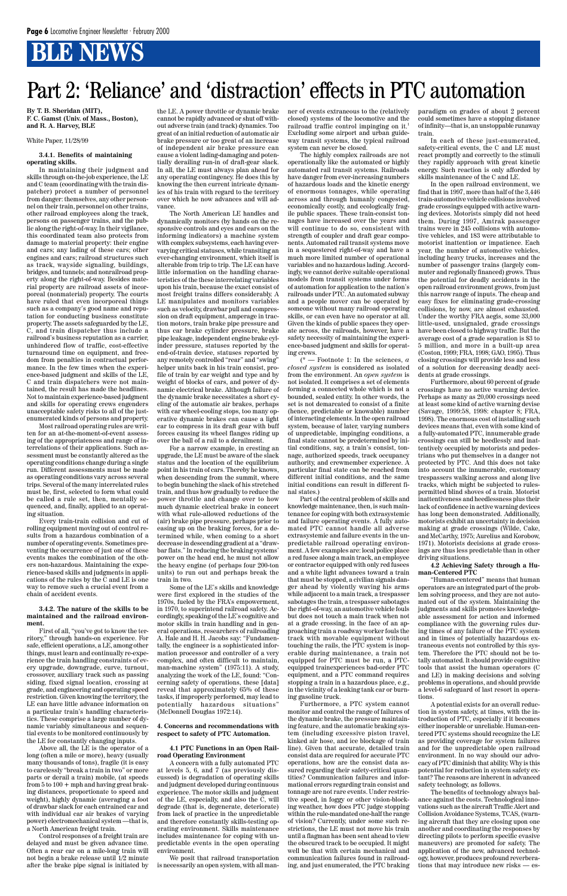### Part 2: 'Reliance' and 'distraction' effects in PTC automation

**By T. B. Sheridan (MIT), F. C. Gamst (Univ. of Mass., Boston), and R. A. Harvey, BLE**

White Paper, 11/28/99

#### **3.4.1. Benefits of maintaining operating skills.**

In maintaining their judgment and skills through on-the-job experience, the LE and C team (coordinating with the train dispatcher) protect a number of personnel from danger: themselves, any other personnel on their train, personnel on other trains, other railroad employees along the track, persons on passenger trains, and the public along the right-of-way. In their vigilance, this coordinated team also protects from damage to material property: their engine and cars; any lading of these cars; other engines and cars; railroad structures such as track, wayside signaling, buildings, bridges, and tunnels; and nonrailroad property along the right-of-way. Besides material property are railroad assets of incorporeal (nonmaterial) property. The courts have ruled that even incorporeal things such as a company's good name and reputation for conducting business constitute property. The assets safeguarded by the LE, C, and train dispatcher thus include a railroad's business reputation as a carrier, unhindered flow of traffic, cost-effective turnaround time on equipment, and freedom from penalties in contractual performance. In the few times when the experience-based judgment and skills of the LE, C and train dispatchers were not maintained, the result has made the headlines. Not to maintain experience-based judgment and skills for operating crews engenders unacceptable safety risks to all of the justenumerated kinds of persons and property.

Most railroad operating rules are written for an at-the-moment-of-event assessing of the appropriateness and range of interrelations of their applications. Such assessment must be constantly altered as the operating conditions change during a single run. Different assessments must be made as operating conditions vary across several trips. Several of the many interrelated rules must be, first, selected to form what could be called a rule set, then, mentally sequenced, and, finally, applied to an operating situation.

Every train-train collision and cut of rolling equipment moving out of control results from a hazardous combination of a number of operating events. Sometimes preventing the occurrence of just one of these events makes the combination of the others non-hazardous. Maintaining the experience-based skills and judgments in applications of the rules by the  $\bar{C}$  and LE is one way to remove such a crucial event from a chain of accident events.

#### **3.4.2. The nature of the skills to be maintained and the railroad environment.**

First of all, "you've got to know the territory," through hands-on experience. For safe, efficient operations, a LE, among other things, must learn and continually re-experience the train handling constraints of every upgrade, downgrade, curve, turnout, crossover, auxiliary track such as passing siding, fixed signal location, crossing at grade, and engineering and operating speed restriction. Given knowing the territory, the LE can have little advance information on a particular train's handling characteristics. These comprise a large number of dynamic variably simultaneous and sequential events to be monitored continuously by the LE for constantly changing inputs. Above all, the LE is the operator of a long (often a mile or more), heavy (usually many thousands of tons), fragile (it is easy to carelessly "break a train in two" or more parts or derail a train) mobile, (at speeds from 5 to 100 + mph and having great braking distances, proportionate to speed and weight), highly dynamic (averaging a foot of drawbar slack for each entrained car and with individual car air brakes of varying power) electromechanical system —that is, a North American freight train. Control responses of a freight train are delayed and must be given advance time. Often a rear car on a mile-long train will not begin a brake release until 1/2 minute after the brake pipe signal is initiated by

the LE. A power throttle or dynamic brake cannot be rapidly advanced or shut off without adverse train (and track) dynamics. Too great of an initial reduction of automatic air brake pressure or too great of an increase of independent air brake pressure can cause a violent lading-damaging and potentially derailing run-in of draft-gear slack. In all, the LE must always plan ahead for any operating contingency. He does this by knowing the then current intricate dynamics of his train with regard to the territory over which he now advances and will advance.

The North American LE handles and dynamically monitors (by hands on the responsive controls and eyes and ears on the informing indicators) a machine system with complex subsystems, each having evervarying critical statuses, while transiting an ever-changing environment, which itself is alterable from trip to trip. The LE can have little information on the handling characteristics of the these interrelating variables upon his train, because the exact consist of most freight trains differs considerably. A LE manipulates and monitors variables such as velocity, drawbar pull and compression on draft equipment, amperage in traction motors, train brake pipe pressure and thus car brake cylinder pressure, brake pipe leakage, independent engine brake cylinder pressure, statuses reported by the end-of-train device, statuses reported by any remotely controlled "rear" and "swing" helper units back in his train consist, profile of train by car weight and type and by weight of blocks of cars, and power of dynamic electrical brake. Although failure of the dynamic brake necessitates a short cycling of the automatic air brakes, perhaps with car wheel-cooling stops, too many operative dynamic brakes can cause a light car to compress in its draft gear with buff forces causing its wheel flanges riding up over the ball of a rail to a derailment.

For a narrow example, in cresting an upgrade, the LE must be aware of the slack status and the location of the equilibrium point in his train of cars. Thereby he knows, when descending from the summit, where to begin bunching the slack of his stretched train, and thus how gradually to reduce the power throttle and change over to how much dynamic electrical brake in concert with what rule-allowed reductions of the (air) brake pipe pressure, perhaps prior to easing up on the braking forces, for a determined while, when coming to a short decrease in descending gradient at a "drawbar flats." In reducing the braking systems' power on the head end, he must not allow the heavy engine (of perhaps four 200-ton units) to run out and perhaps break the train in two.

Some of the LE's skills and knowledge were first explored in the studies of the 1970s, fueled by the FRA's empowerment, in 1970, to superintend railroad safety. Accordingly, speaking of the LE's cognitive and motor skills in train handling and in general operations, researchers of railroading A. Hale and H. H. Jacobs say: "Fundamentally, the engineer is a sophisticated information processor and controller of a very complex, and often difficult to maintain, man-machine system" (1975:11). A study, analyzing the work of the LE, found: "Concerning safety of operations, these [data] reveal that approximately 65% of these tasks, if improperly performed, may lead to potentially hazardous situations" (McDonnell Douglas 1972:14).

#### **4. Concerns and recommendations with respect to safety of PTC Automation.**

#### **4.1 PTC Functions in an Open Railroad Operating Environment**

A concern with a fully automated PTC at levels 5, 6, and 7 (as previously discussed) is degradation of operating skills and judgment developed during continuous experience. The motor skills and judgment of the LE, especially, and also the C, will degrade (that is, degenerate, deteriorate) from lack of practice in the unpredictable and therefore constantly skills-testing operating environment. Skills maintenance includes maintenance for coping with unpredictable events in the open operating environment.

We posit that railroad transportation is necessarily an open system, with all man-

ner of events extraneous to the (relatively closed) systems of the locomotive and the railroad traffic control impinging on it.1 Excluding some airport and urban guideway transit systems, the typical railroad system can never be closed.

The highly complex railroads are not operationally like the automated or highly automated rail transit systems. Railroads have danger from ever-increasing numbers of hazardous loads and the kinetic energy of enormous tonnages, while operating across and through humanly congested, economically costly, and ecologically fragile public spaces. These train-consist tonnages have increased over the years and will continue to do so, consistent with strength of coupler and draft gear components. Automated rail transit systems move in a sequestered right-of-way and have a much more limited number of operational variables and no hazardous lading. Accordingly, we cannot derive suitable operational models from transit systems under forms of automation for application to the nation's railroads under PTC. An automated subway and a people mover can be operated by someone without many railroad operating skills, or can even have no operator at all. Given the kinds of public spaces they operate across, the railroads, however, have a safety necessity of maintaining the experience-based judgment and skills for operating crews.

(\* — Footnote 1: In the sciences, *a closed system* is considered as isolated from the environment. An *open system* is not isolated. It comprises a set of elements forming a connected whole which is not a bounded, sealed entity. In other words, the set is not demarcated to consist of a finite (hence, predictable or knowable) number of interacting elements. In the open railroad system, because of later, varying numbers of unpredictable, impinging conditions, a final state cannot be predetermined by initial conditions, say, a train's consist, tonnage, authorized speeds, track occupancy authority, and crewmember experience. A particular final state can be reached from different initial conditions, and the same initial conditions can result in different final states.)

Part of the central problem of skills and knowledge maintenance, then, is such maintenance for coping with both extrasystemic and failure operating events. A fully automated PTC cannot handle all adverse extrasystemic and failure events in the unpredictable railroad operating environment. A few examples are: local police place a red fusee along a main track, an employee or contractor equipped with only red fusees and a white light advances toward a train that must be stopped, a civilian signals danger ahead by violently waving his arms while adjacent to a main track, a trespasser sabotages the train, a trespasser sabotages the right-of-way, an automotive vehicle fouls but does not touch a main track when not at a grade crossing, in the face of an approaching train a roadway worker fouls the track with movable equipment without touching the rails, the PTC system is inoperable during maintenance, a train not

equipped for PTC must be run, a PTCequipped trainexperiences bad-order PTC equipment, and a PTC command requires stopping a train in a hazardous place, e.g., in the vicinity of a leaking tank car or burning gasoline truck.

Furthermore, a PTC system cannot monitor and control the range of failures of the dynamic brake, the pressure maintaining feature, and the automatic braking system (including excessive piston travel, kinked air hose, and ice blockage of train line). Given that accurate, detailed train consist data are required for accurate PTC operations, how are the consist data assured regarding their safety-critical quantities? Communication failures and informational errors regarding train consist and tonnage are not rare events. Under restrictive speed, in foggy or other vision-blocking weather, how does PTC judge stopping within the rule-mandated one-half the range of vision? Currently, under some such restrictions, the LE must not move his train until a flagman has been sent ahead to view the obscured track to be occupied. It might well be that with certain mechanical and communication failures found in railroading, and just enumerated, the PTC braking paradigm on grades of about 2 percent could sometimes have a stopping distance of infinity—that is, an unstoppable runaway train.

In each of these just-enumerated, safety-critical events, the C and LE must react promptly and correctly to the stimuli they rapidly approach with great kinetic energy. Such reaction is only afforded by skills maintenance of the C and LE.

In the open railroad environment, we find that in 1997, more than half of the 3,446 train-automotive vehicle collisions involved grade crossings equipped with active warning devices. Motorists simply did not heed them. During 1997, Amtrak passenger trains were in 245 collisions with automotive vehicles, and 183 were attributable to motorist inattention or impatience. Each year, the number of automotive vehicles, including heavy trucks, increases and the number of passenger trains (largely commuter and regionally financed) grows. Thus the potential for deadly accidents in the open railroad environment grows, from just this narrow range of inputs. The cheap and easy fixes for eliminating grade-crossing collisions, by now, are almost exhausted. Under the worthy FRA aegis, some 33,000 little-used, unsignaled, grade crossings have been closed to highway traffic. But the average cost of a grade separation is \$3 to 5 million, and more in a built-up area (Coston, 1999; FRA, 1998; GAO, 1995). Thus closing crossings will provide less and less of a solution for decreasing deadly accidents at grade crossings.

Furthermore, about 60 percent of grade crossings have no active warning device. Perhaps as many as 20,000 crossings need at least some kind of active warning devise (Savage, 1999:58, 1998: chapter 8; FRA, 1998). The enormous cost of installing such devices means that, even with some kind of a fully-automated PTC, innumerable grade crossings can still be heedlessly and inattentively occupied by motorists and pedestrians who put themselves in a danger not protected by PTC. And this does not take into account the innumerable, customary trespassers walking across and along live tracks, which might be subjected to rulespermitted blind shoves of a train. Motorist inattentiveness and heedlessness plus their lack of confidence in active warning devices has long been demonstrated. Additionally, motorists exhibit an uncertainty in decision making at grade crossings (Wilde, Cake, and McCarthy, 1975; Aurelius and Korobow, 1971). Motorists decisions at grade crossings are thus less predictable than in other driving situations.

#### **4.2 Achieving Safety through a Human-Centered PTC**

"Human-centered" means that human operators are an integrated part of the problem solving process, and they are not automated out of the system. Maintaining the judgments and skills promotes knowledgeable assessment for action and informed compliance with the governing rules during times of any failure of the PTC system and in times of potentially hazardous extraneous events not controlled by this system. Therefore the PTC should not be totally automated. It should provide cognitive tools that assist the human operators (C and LE) in making decisions and solving problems in operations, and should provide a level-6 safeguard of last resort in operations. A potential exists for an overall reduction in system safety, at times, with the introduction of PTC, especially if it becomes either inoperable or unreliable. Human-centered PTC systems should recognize the LE as providing coverage for system failures and for the unpredictable open railroad environment. In no way should our advocacy of PTC diminish that ability. Why is this potential for reduction in system safety extant? The reasons are inherent in advanced safety technology, as follows. The benefits of technology always balance against the costs. Technological innovations such as the aircraft Traffic Alert and Collision Avoidance Systems, TCAS, (warning aircraft that they are closing upon one another and coordinating the responses by directing pilots to perform specific evasive maneuvers) are promoted for safety. The application of the new, advanced technology, however, produces profound reverberations that may introduce new risks — es-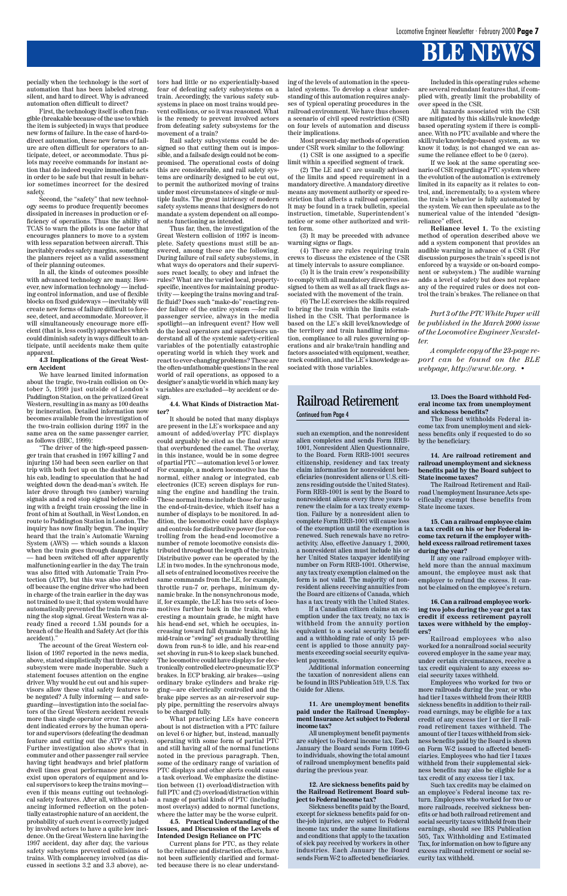pecially when the technology is the sort of automation that has been labeled strong, silent, and hard to direct. Why is advanced automation often difficult to direct?

First, the technology itself is often frangible (breakable because of the use to which the item is subjected) in ways that produce new forms of failure. In the case of hard-todirect automation, these new forms of failure are often difficult for operators to anticipate, detect, or accommodate. Thus pilots may receive commands for instant action that do indeed require immediate acts in order to be safe but that result in behavior sometimes incorrect for the desired safety.

Second, the "safety" that new technology seems to produce frequently becomes dissipated in increases in production or efficiency of operations. Thus the ability of TCAS to warn the pilots is one factor that encourages planners to move to a system with less separation between aircraft. This inevitably erodes safety margins, something the planners reject as a valid assessment of their planning outcomes.

In all, the kinds of outcomes possible with advanced technology are many. However, new information technology — including control information, and use of flexible blocks on fixed guideways —inevitably will create new forms of failure difficult to foresee, detect, and accommodate. Moreover, it will simultaneously encourage more efficient (that is, less costly) approaches which could diminish safety in ways difficult to anticipate, until accidents make them quite apparent.

**4.3 Implications of the Great Western Accident**

We have learned limited information about the tragic, two-train collision on October 5, 1999 just outside of London's Paddington Station, on the privatized Great Western, resulting in as many as 100 deaths by incineration. Detailed information now becomes available from the investigation of the two-train collision during 1997 in the same area on the same passenger carrier, as follows (BBC, 1999):

"The driver of the high-speed passenger train that crashed in 1997 killing 7 and injuring 150 had been seen earlier on that trip with both feet up on the dashboard of his cab, leading to speculation that he had weighted down the dead-man's switch. He later drove through two (amber) warning signals and a red stop signal before colliding with a freight train crossing the line in front of him at Southall, in West London, en route to Paddington Station in London. The inquiry has now finally begun. The inquiry heard that the train's Automatic Warning System (AWS) — which sounds a klaxon when the train goes through danger lights — had been switched off after apparently malfunctioning earlier in the day. The train was also fitted with Automatic Train Protection (ATP), but this was also switched off because the engine driver who had been in charge of the train earlier in the day was not trained to use it; that system would have automatically prevented the train from running the stop signal. Great Western was already fined a record 1.5M pounds for a breach of the Health and Safety Act (for this accident)."

The account of the Great Western collision of 1997 reported in the news media,

above, stated simplistically that three safety subsystem were made inoperable. Such a statement focuses attention on the engine driver. Why would he cut out and his supervisors allow these vital safety features to be negated? A fully informing — and safeguarding—investigation into the social factors of the Great Western accident reveals more than single operator error. The accident indicated errors by the human operator and supervisors (defeating the deadman feature and cutting out the ATP system). Further investigation also shows that in commuter and other passenger rail service having tight headways and brief platform dwell times great performance pressures exist upon operators of equipment and local supervisors to keep the trains moving even if this means cutting out technological safety features. After all, without a balancing informed reflection on the potentially catastrophic nature of an accident, the probability of such event is correctly judged by involved actors to have a quite low incidence. On the Great Western line having the 1997 accident, day after day, the various safety subsytems prevented collisions of trains. With complacency involved (as discussed in sections 3.2 and 3.3 above), actors had little or no experientially-based fear of defeating safety subsystems on a train. Accordingly, the various safety subsystems in place on most trains would prevent collisions, or so it was reasoned. What is the remedy to prevent involved actors from defeating safety subsystems for the movement of a train?

Rail safety subsystems could be designed so that cutting them out is impossible, and a failsafe design could not be compromised. The operational costs of doing this are considerable, and rail safety systems are ordinarily designed to be cut out, to permit the authorized moving of trains under most circumstances of single or multiple faults. The great intricacy of modern safety systems means that designers do not mandate a system dependent on all components functioning as intended.

Thus far, then, the investigation of the Great Western collision of 1997 is incomplete. Safety questions must still be answered, among these are the following. During failure of rail safety subsystems, in what ways do operators and their supervisors react locally, to obey and infract the rules? What are the varied local, propertyspecific, incentives for maintaining productivity — keeping the trains moving and traffic fluid? Does such "make-do" reacting render failure of the entire system —for rail passenger service, always in the media spotlight—an infrequent event? How well do the local operators and supervisors understand all of the systemic safety-critical variables of the potentially catastrophic operating world in which they work and react to ever-changing problems? These are the often-unfathomable questions in the real world of rail operations, as opposed to a designer's analytic world in which many key variables are excluded—by accident or design.

**4.4. What Kinds of Distraction Matter?**

It should be noted that many displays are present in the LE's workspace and any amount of added/overlay PTC displays could arguably be cited as the final straw that overburdened the camel. The overlay, in this instance, would be in some degree of partial PTC —automation level 5 or lower. For example, a modern locomotive has the normal, either analog or integrated, cab electronics (ICE) screen displays for running the engine and handling the train. These normal items include those for using the end-of-train-device, which itself has a number of displays to be monitored. In addition, the locomotive could have displays and controls for distributive power (for controlling from the head-end locomotive a number of remote locomotive consists distributed throughout the length of the train). Distributive power can be operated by the LE in two modes. In the synchronous mode, all sets of entrained locomotives receive the same commands from the LE, for example, throttle run-7 or, perhaps, minimum dynamic brake. In the nonsynchronous mode, if, for example, the LE has two sets of locomotives further back in the train, when cresting a mountain grade, he might have his head-end set, which he occupies, increasing toward full dynamic braking, his mid-train or "swing" set gradually throttling down from run-8 to idle, and his rear-end set shoving in run-8 to keep slack bunched.

The locomotive could have displays for electronically controlled electro-pneumatic ECP brakes. In ECP braking, air brakes—using ordinary brake cylinders and brake rigging—are electrically controlled and the brake pipe serves as an air-reservoir supply pipe, permitting the reservoirs always to be charged fully.

What practicing LEs have concern about is not distraction with a PTC failure on level 6 or higher, but, instead, manually operating with some form of partial PTC and still having all of the normal functions noted in the previous paragraph. Then, some of the ordinary range of variation of PTC displays and other alerts could cause a task overload. We emphasize the distinction between (1) overload/distraction with full PTC and (2) overload/distraction within a range of partial kinds of PTC (including most overlays) added to normal functions, where the latter may be the worse culprit.

**4.5. Practical Understanding of the Issues, and Discussion of the Levels of Intended Design Reliance on PTC**

Current plans for PTC, as they relate to the reliance and distraction effects, have not been sufficiently clarified and formatted because there is no clear understand-

such an exemption, and the nonresident alien completes and sends Form RRB-1001, Nonresident Alien Questionnaire, to the Board. Form RRB-1001 secures citizenship, residency and tax treaty claim information for nonresident beneficiaries (nonresident aliens or U.S. citizens residing outside the United States). Form RRB-1001 is sent by the Board to nonresident aliens every three years to renew the claim for a tax treaty exemption. Failure by a nonresident alien to complete Form RRB-1001 will cause loss of the exemption until the exemption is renewed. Such renewals have no retroactivity. Also, effective January 1, 2000, a nonresident alien must include his or her United States taxpayer identifying number on Form RRB-1001. Otherwise, any tax treaty exemption claimed on the form is not valid. The majority of nonresident aliens receiving annuities from the Board are citizens of Canada, which has a tax treaty with the United States.

If a Canadian citizen claims an exemption under the tax treaty, no tax is withheld from the annuity portion equivalent to a social security benefit and a withholding rate of only 15 percent is applied to those annuity payments exceeding social security equiva-

lent payments.

Additional information concerning the taxation of nonresident aliens can be found in IRS Publication 519, U.S. Tax Guide for Aliens.

**11. Are unemployment benefits paid under the Railroad Unemployment Insurance Act subject to Federal income tax?**

All unemployment benefit payments are subject to Federal income tax. Each January the Board sends Form 1099-G to individuals, showing the total amount of railroad unemployment benefits paid during the previous year.

#### **12. Are sickness benefits paid by the Railroad Retirement Board subject to Federal income tax?**

Sickness benefits paid by the Board, except for sickness benefits paid for onthe-job injuries, are subject to Federal income tax under the same limitations and conditions that apply to the taxation of sick pay received by workers in other industries. Each January the Board sends Form W-2 to affected beneficiaries.

**13. Does the Board withhold Federal income tax from unemployment and sickness benefits?**

The Board withholds Federal income tax from unemployment and sickness benefits only if requested to do so by the beneficiary.

**14. Are railroad retirement and railroad unemployment and sickness benefits paid by the Board subject to State income taxes?**

The Railroad Retirement and Railroad Unemployment Insurance Acts specifically exempt these benefits from State income taxes.

**15. Can a railroad employee claim a tax credit on his or her Federal income tax return if the employer withheld excess railroad retirement taxes during the year?**

If any one railroad employer withheld more than the annual maximum amount, the employee must ask that employer to refund the excess. It cannot be claimed on the employee's return.

**16. Can a railroad employee working two jobs during the year get a tax credit if excess retirement payroll taxes were withheld by the employers?**

Railroad employees who also worked for a nonrailroad social security covered employer in the same year may,

under certain circumstances, receive a tax credit equivalent to any excess social security taxes withheld.

Employees who worked for two or more railroads during the year, or who had tier I taxes withheld from their RRB sickness benefits in addition to their railroad earnings, may be eligible for a tax credit of any excess tier I or tier II railroad retirement taxes withheld. The amount of tier I taxes withheld from sickness benefits paid by the Board is shown on Form W-2 issued to affected beneficiaries. Employees who had tier I taxes withheld from their supplemental sickness benefits may also be eligible for a tax credit of any excess tier I tax.

Such tax credits may be claimed on an employee's Federal income tax return. Employees who worked for two or more railroads, received sickness benefits or had both railroad retirement and social security taxes withheld from their earnings, should see IRS Publication 505, Tax Withholding and Estimated Tax, for information on how to figure any excess railroad retirement or social security tax withheld.

#### Railroad Retirement Continued from Page 4

*Part 3 of the PTC White Paper will be published in the March 2000 issue of the Locomotive Engineer Newsletter.*

*A complete copy of the 23-page report can be found on the BLE webpage, http://www.ble.org. •*

ing of the levels of automation in the speculated systems. To develop a clear understanding of this automation requires analyses of typical operating procedures in the railroad environment. We have thus chosen a scenario of civil speed restriction (CSR) on four levels of automation and discuss their implications.

Most present-day methods of operation under CSR work similar to the following:

(1) CSR is one assigned to a specific limit within a specified segment of track. (2) The LE and C are usually advised

of the limits and speed requirement in a mandatory directive. A mandatory directive means any movement authority or speed restriction that affects a railroad operation. It may be found in a track bulletin, special instruction, timetable, Superintendent's notice or some other authorized and written form.

(3) It may be preceded with advance warning signs or flags.

(4) There are rules requiring train crews to discuss the existence of the CSR at timely intervals to assure compliance.

(5) It is the train crew's responsibility to comply with all mandatory directives assigned to them as well as all track flags associated with the movement of the train.

(6) The LE exercises the skills required to bring the train within the limits established in the CSR. That performance is based on the LE's skill level/knowledge of the territory and train handling information, compliance to all rules governing operations and air brake/train handling and factors associated with equipment, weather, track condition, and the LE's knowledge associated with those variables.

Included in this operating rules scheme are several redundant features that, if complied with, greatly limit the probability of over speed in the CSR.

All hazards associated with the CSR are mitigated by this skills/rule knowledge based operating system if there is compliance. With no PTC available and where the skill/rule/knowledge-based system, as we know it today, is not changed we can assume the reliance effect to be 0 (zero).

If we look at the same operating scenario of CSR regarding a PTC system where the evolution of the automation is extremely limited in its capacity as it relates to control, and, incrementally, to a system where the train's behavior is fully automated by the system. We can then speculate as to the numerical value of the intended "designreliance" effect.

**Reliance level 1.** To the existing method of operation described above we add a system component that provides an audible warning in advance of a CSR (For discussion purposes the train's speed is not enforced by a wayside or on-board component or subsystem.) The audible warning adds a level of safety but does not replace any of the required rules or does not control the train's brakes. The reliance on that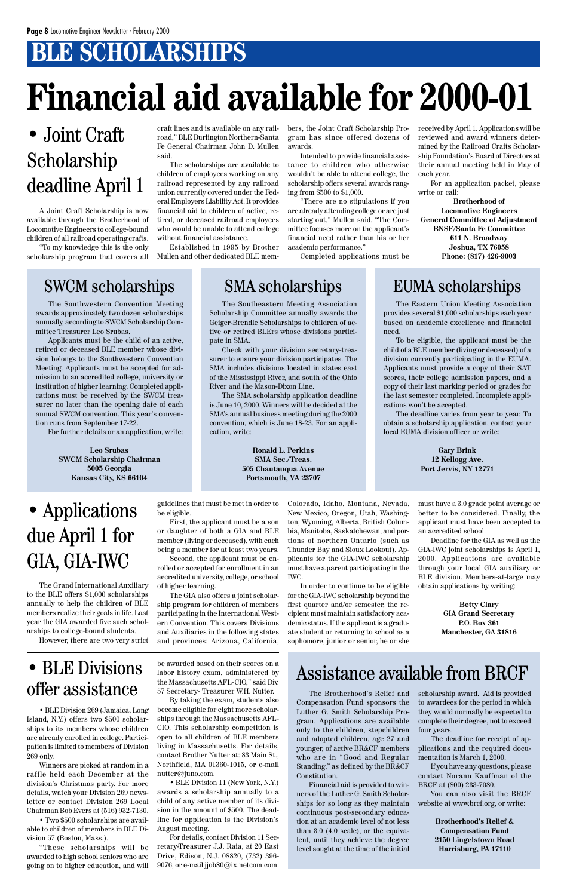### **BLE SCHOLARSHIPS**

## **Financial aid available for 2000-01**

A Joint Craft Scholarship is now available through the Brotherhood of Locomotive Engineers to college-bound children of all railroad operating crafts.

"To my knowledge this is the only scholarship program that covers all

### • Joint Craft Scholarship deadline April 1

#### craft lines and is available on any railroad," BLE Burlington Northern-Santa Fe General Chairman John D. Mullen said.

The scholarships are available to children of employees working on any railroad represented by any railroad union currently covered under the Federal Employers Liability Act. It provides financial aid to children of active, retired, or deceased railroad employees who would be unable to attend college without financial assistance.

Established in 1995 by Brother Mullen and other dedicated BLE members, the Joint Craft Scholarship Program has since offered dozens of awards.

Intended to provide financial assistance to children who otherwise wouldn't be able to attend college, the scholarship offers several awards ranging from \$500 to \$1,000.

"There are no stipulations if you are already attending college or are just starting out," Mullen said. "The Committee focuses more on the applicant's financial need rather than his or her academic performance."

Completed applications must be

received by April 1. Applications will be reviewed and award winners determined by the Railroad Crafts Scholarship Foundation's Board of Directors at their annual meeting held in May of each year.

For an application packet, please write or call:

**Brotherhood of Locomotive Engineers General Committee of Adjustment BNSF/Santa Fe Committee 611 N. Broadway Joshua, TX 76058 Phone: (817) 426-9003**

### SWCM scholarships SMA scholarships EUMA scholarships

The Southwestern Convention Meeting awards approximately two dozen scholarships annually, according to SWCM Scholarship Committee Treasurer Leo Srubas.

Applicants must be the child of an active, retired or deceased BLE member whose division belongs to the Southwestern Convention Meeting. Applicants must be accepted for admission to an accredited college, university or institution of higher learning. Completed applications must be received by the SWCM treasurer no later than the opening date of each annual SWCM convention. This year's convention runs from September 17-22.

For further details or an application, write:

**Leo Srubas SWCM Scholarship Chairman 5005 Georgia Kansas City, KS 66104**

The Southeastern Meeting Association Scholarship Committee annually awards the Geiger-Brendle Scholarships to children of active or retired BLErs whose divisions participate in SMA.

Check with your division secretary-treasurer to ensure your division participates. The SMA includes divisions located in states east of the Mississippi River, and south of the Ohio River and the Mason-Dixon Line.

The SMA scholarship application deadline is June 10, 2000. Winners will be decided at the SMA's annual business meeting during the 2000 convention, which is June 18-23. For an application, write:

> **Ronald L. Perkins SMA Sec./Treas. 505 Chautauqua Avenue Portsmouth, VA 23707**

The Eastern Union Meeting Association provides several \$1,000 scholarships each year based on academic excellence and financial need.

To be eligible, the applicant must be the child of a BLE member (living or deceased) of a division currently participating in the EUMA. Applicants must provide a copy of their SAT scores, their college admission papers, and a copy of their last marking period or grades for the last semester completed. Incomplete applications won't be accepted.

The deadline varies from year to year. To obtain a scholarship application, contact your local EUMA division officer or write:

> **Gary Brink 12 Kellogg Ave. Port Jervis, NY 12771**

The Brotherhood's Relief and Compensation Fund sponsors the Luther G. Smith Scholarship Program. Applications are available only to the children, stepchildren and adopted children, age 27 and younger, of active BR&CF members who are in "Good and Regular Standing," as defined by the BR&CF Constitution.

Financial aid is provided to winners of the Luther G. Smith Scholarships for so long as they maintain continuous post-secondary education at an academic level of not less than 3.0 (4.0 scale), or the equivalent, until they achieve the degree level sought at the time of the initial

• BLE Division 269 (Jamaica, Long Island, N.Y.) offers two \$500 scholarships to its members whose children are already enrolled in college. Participation is limited to members of Division 269 only.

Winners are picked at random in a raffle held each December at the division's Christmas party. For more details, watch your Division 269 newsletter or contact Division 269 Local Chairman Bob Evers at (516) 932-7130.

• Two \$500 scholarships are available to children of members in BLE Division 57 (Boston, Mass.).

"These scholarships will be awarded to high school seniors who are going on to higher education, and will

### • BLE Divisions offer assistance

be awarded based on their scores on a labor history exam, administered by the Massachusetts AFL-CIO," said Div. 57 Secretary- Treasurer W.H. Nutter. By taking the exam, students also become eligible for eight more scholar-

ships through the Massachusetts AFL-CIO. This scholarship competition is open to all children of BLE members living in Massachusetts. For details, contact Brother Nutter at: 83 Main St., Northfield, MA 01360-1015, or e-mail nutter@juno.com.

• BLE Division 11 (New York, N.Y.) awards a scholarship annually to a child of any active member of its division in the amount of \$500. The deadline for application is the Division's August meeting.

For details, contact Division 11 Secretary-Treasurer J.J. Raia, at 20 East Drive, Edison, N.J. 08820, (732) 396- 9076, or e-mail jjob80@ix.netcom.com.

The Grand International Auxiliary to the BLE offers \$1,000 scholarships annually to help the children of BLE members realize their goals in life. Last year the GIA awarded five such scholarships to college-bound students.

However, there are two very strict

### • Applications due April 1 for GIA, GIA-IWC

guidelines that must be met in order to be eligible.

First, the applicant must be a son or daughter of both a GIA and BLE member (living or deceased), with each being a member for at least two years.

Second, the applicant must be enrolled or accepted for enrollment in an accredited university, college, or school of higher learning.

The GIA also offers a joint scholarship program for children of members participating in the International Western Convention. This covers Divisions and Auxiliaries in the following states and provinces: Arizona, California, Colorado, Idaho, Montana, Nevada, New Mexico, Oregon, Utah, Washington, Wyoming, Alberta, British Columbia, Manitoba, Saskatchewan, and portions of northern Ontario (such as Thunder Bay and Sioux Lookout). Applicants for the GIA-IWC scholarship must have a parent participating in the IWC.

In order to continue to be eligible for the GIA-IWC scholarship beyond the first quarter and/or semester, the recipient must maintain satisfactory academic status. If the applicant is a graduate student or returning to school as a sophomore, junior or senior, he or she must have a 3.0 grade point average or better to be considered. Finally, the applicant must have been accepted to an accredited school.

Deadline for the GIA as well as the GIA-IWC joint scholarships is April 1, 2000. Applications are available through your local GIA auxiliary or BLE division. Members-at-large may obtain applications by writing:

> **Betty Clary GIA Grand Secretary P.O. Box 361 Manchester, GA 31816**

scholarship award. Aid is provided to awardees for the period in which they would normally be expected to complete their degree, not to exceed four years.

The deadline for receipt of applications and the required documentation is March 1, 2000.

If you have any questions, please contact Norann Kauffman of the BRCF at (800) 233-7080.

You can also visit the BRCF website at www.brcf.org, or write:

> **Brotherhood's Relief & Compensation Fund 2150 Lingelstown Road Harrisburg, PA 17110**

### Assistance available from BRCF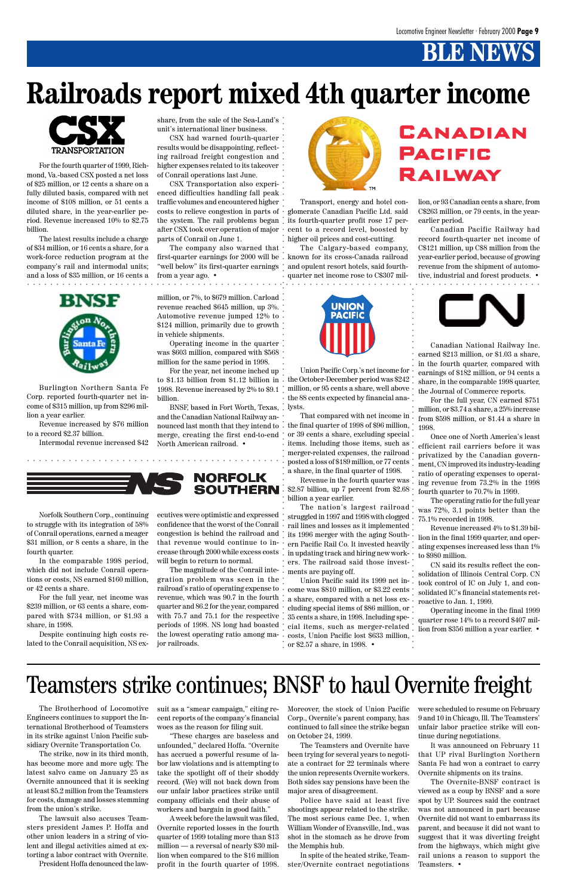### Teamsters strike continues; BNSF to haul Overnite freight

### **Railroads report mixed 4th quarter income**

Transport, energy and hotel conglomerate Canadian Pacific Ltd. said cent to a record level, boosted by higher oil prices and cost-cutting.

The Calgary-based company, first-quarter earnings for 2000 will be . known for its cross-Canada railroad and opulent resort hotels, said fourthquarter net income rose to C\$307 mil-



Burlington Northern Santa Fe Corp. reported fourth-quarter net income of \$315 million, up from \$296 million a year earlier.

Revenue increased by \$76 million to a record \$2.37 billion.

Intermodal revenue increased \$42

Union Pacific Corp.'s net income for million, or 95 cents a share, well above the 88 cents expected by financial analysts.

That compared with net income in the final quarter of 1998 of \$96 million, or 39 cents a share, excluding special items. Including those items, such as merger-related expenses, the railroad posted a loss of \$189 million, or 77 cents a share, in the final quarter of 1998.

Revenue in the fourth quarter was \$2.87 billion, up 7 percent from \$2.68 billion a year earlier.

The nation's largest railroad struggled in 1997 and 1998 with clogged rail lines and losses as it implemented its 1996 merger with the aging Southern Pacific Rail Co. It invested heavily in updating track and hiring new workers. The railroad said those investments are paying off.

the system. The rail problems began, its fourth-quarter profit rose 17 per-CSX Transportation also experienced difficulties handling fall peak traffic volumes and encountered higher costs to relieve congestion in parts of after CSX took over operation of major parts of Conrail on June 1.

Union Pacific said its 1999 net income was \$810 million, or \$3.22 cents a share, compared with a net loss excluding special items of \$86 million, or 35 cents a share, in 1998. Including special items, such as merger-related the lowest operating ratio among ma- costs, Union Pacific lost \$633 million, or \$2.57 a share, in 1998. •

### CANADIAN PACIFIC RAILWAY

For the fourth quarter of 1999, Richmond, Va.-based CSX posted a net loss of \$25 million, or 12 cents a share on a fully diluted basis, compared with net income of \$108 million, or 51 cents a diluted share, in the year-earlier period. Revenue increased 10% to \$2.75 billion.

The latest results include a charge of \$34 million, or 16 cents a share, for a work-force reduction program at the company's rail and intermodal units; and a loss of \$35 million, or 16 cents a share, from the sale of the Sea-Land's unit's international liner business.

CSX had warned fourth-quarter results would be disappointing, reflecting railroad freight congestion and higher expenses related to its takeover of Conrail operations last June.

**BINSTER ACCONS**<br> **EXERCIBENT AND ANOTHER CORPORATION** CROSITY and the particle subsequence reached 845 million, up aways and a<br>
a station operating income in the same period in 1998.<br> **EXERCIBENT AND ANOTHER CORPORATION** The magnitude of the Conrail integration problem was seen in the railroad's ratio of operating expense to revenue, which was 90.7 in the fourth quarter and 86.2 for the year, compared with 75.7 and 75.1 for the respective  $\dot{\phantom{a}}$ . periods of 1998. NS long had boasted jor railroads.

The company also warned that "well below" its first-quarter earnings from a year ago. •

lion, or 93 Canadian cents a share, from C\$263 million, or 79 cents, in the yearearlier period.

Canadian Pacific Railway had record fourth-quarter net income of C\$121 million, up C\$8 million from the year-earlier period, because of growing revenue from the shipment of automotive, industrial and forest products. •





Canadian National Railway Inc. earned \$213 million, or \$1.03 a share, in the fourth quarter, compared with earnings of \$182 million, or 94 cents a share, in the comparable 1998 quarter, the Journal of Commerce reports.

For the full year, CN earned \$751 million, or \$3.74 a share, a 25% increase from \$598 million, or \$1.44 a share in 1998.

Once one of North America's least efficient rail carriers before it was privatized by the Canadian government, CN improved its industry-leading ratio of operating expenses to operating revenue from 73.2% in the 1998 fourth quarter to 70.7% in 1999.

The operating ratio for the full year was 72%, 3.1 points better than the 75.1% recorded in 1998.

Revenue increased 4% to \$1.39 billion in the final 1999 quarter, and operating expenses increased less than 1% to \$980 million.

CN said its results reflect the consolidation of Illinois Central Corp. CN took control of IC on July 1, and consolidated IC's financial statements retroactive to Jan. 1, 1999.

to \$1.13 billion from \$1.12 billion in  $\,\cdot\,$  the October-December period was \$242 For the year, net income inched up 1998. Revenue increased by 2% to \$9.1 billion.

> Operating income in the final 1999 quarter rose 14% to a record \$407 million from \$356 million a year earlier. •

aaaaaaaaaaaaaaaaaaaaaaaaaaaa





In the comparable 1998 period, which did not include Conrail operations or costs, NS earned \$160 million, or 42 cents a share.

For the full year, net income was \$239 million, or 63 cents a share, compared with \$734 million, or \$1.93 a share, in 1998.

Despite continuing high costs related to the Conrail acquisition, NS executives were optimistic and expressed confidence that the worst of the Conrail congestion is behind the railroad and that revenue would continue to increase through 2000 while excess costs will begin to return to normal.

aaaaaaaaaaaaaaaaaaaaaaaaaaaaaaaaaaaaaaaaaaaaaaaaaaaaaaaaaa

aaaa

aaaaaaaaaaaaaaaaaaaaaaa aaaaaaaaaaaaaaaaaaaa



The Brotherhood of Locomotive Engineers continues to support the International Brotherhood of Teamsters in its strike against Union Pacific subsidiary Overnite Transportation Co.

The strike, now in its third month, has become more and more ugly. The latest salvo came on January 25 as Overnite announced that it is seeking at least \$5.2 million from the Teamsters for costs, damage and losses stemming from the union's strike.

The lawsuit also accuses Teamsters president James P. Hoffa and other union leaders in a string of violent and illegal activities aimed at extorting a labor contract with Overnite. President Hoffa denounced the lawsuit as a "smear campaign," citing recent reports of the company's financial woes as the reason for filing suit.

"These charges are baseless and unfounded," declared Hoffa. "Overnite has accrued a powerful resume of labor law violations and is attempting to take the spotlight off of their shoddy record. (We) will not back down from our unfair labor practices strike until company officials end their abuse of workers and bargain in good faith."

A week before the lawsuit was filed, Overnite reported losses in the fourth quarter of 1999 totaling more than \$13 million — a reversal of nearly \$30 million when compared to the \$16 million profit in the fourth quarter of 1998. Moreover, the stock of Union Pacific Corp., Overnite's parent company, has continued to fall since the strike began on October 24, 1999.

The Teamsters and Overnite have been trying for several years to negotiate a contract for 22 terminals where the union represents Overnite workers. Both sides say pensions have been the major area of disagreement.

Police have said at least five shootings appear related to the strike. The most serious came Dec. 1, when William Wonder of Evansville, Ind., was shot in the stomach as he drove from the Memphis hub.

In spite of the heated strike, Teamster/Overnite contract negotiations were scheduled to resume on February 9 and 10 in Chicago, Ill. The Teamsters' unfair labor practice strike will continue during negotiations.

It was announced on February 11 that UP rival Burlington Northern Santa Fe had won a contract to carry Overnite shipments on its trains.

The Overnite-BNSF contract is viewed as a coup by BNSF and a sore spot by UP. Sources said the contract was not announced in part because Overnite did not want to embarrass its parent, and because it did not want to suggest that it was diverting freight from the highways, which might give rail unions a reason to support the Teamsters. •

million, or 7%, to \$679 million. Carload revenue reached \$645 million, up 3%. Automotive revenue jumped 12% to \$124 million, primarily due to growth in vehicle shipments.

Operating income in the quarter was \$603 million, compared with \$568 million for the same period in 1998.

BNSF, based in Fort Worth, Texas, and the Canadian National Railway announced last month that they intend to  $\stackrel{\circ}{\cdot}$ merge, creating the first end-to-end North American railroad. •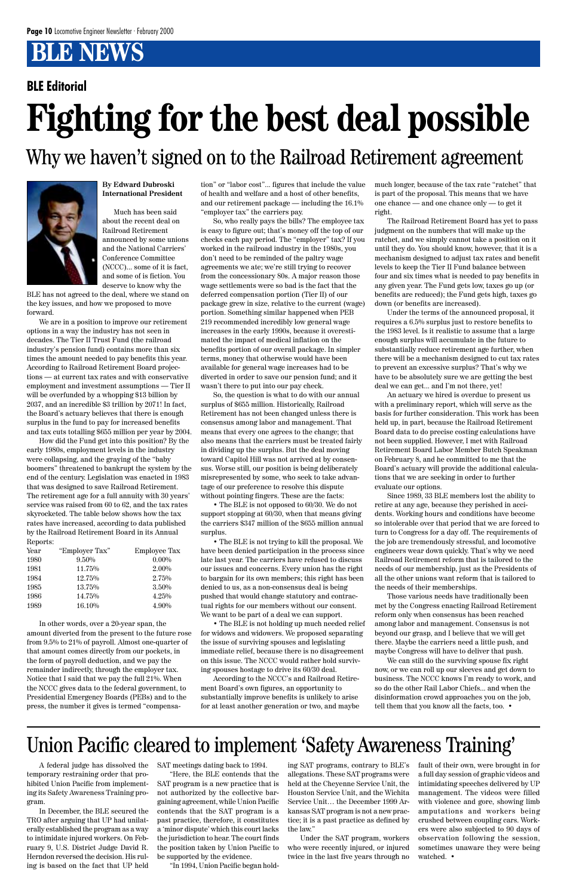### Why we haven't signed on to the Railroad Retirement agreement



**By Edward Dubroski International President**

Much has been said about the recent deal on Railroad Retirement announced by some unions and the National Carriers' Conference Committee (NCCC)... some of it is fact, and some of is fiction. You deserve to know why the

BLE has not agreed to the deal, where we stand on the key issues, and how we proposed to move forward.

We are in a position to improve our retirement options in a way the industry has not seen in decades. The Tier II Trust Fund (the railroad industry's pension fund) contains more than six times the amount needed to pay benefits this year. According to Railroad Retirement Board projections — at current tax rates and with conservative employment and investment assumptions — Tier II will be overfunded by a whopping \$13 billion by 2037, and an incredible \$3 trillion by 2071! In fact, the Board's actuary believes that there is enough surplus in the fund to pay for increased benefits and tax cuts totalling \$655 million per year by 2004.

How did the Fund get into this position? By the early 1980s, employment levels in the industry were collapsing, and the graying of the "baby boomers" threatened to bankrupt the system by the end of the century. Legislation was enacted in 1983 that was designed to save Railroad Retirement. The retirement age for a full annuity with 30 years' service was raised from 60 to 62, and the tax rates skyrocketed. The table below shows how the tax rates have increased, according to data published by the Railroad Retirement Board in its Annual Reports:

| Year | "Employer Tax" | <b>Employee Tax</b> |
|------|----------------|---------------------|
| 1980 | $9.50\%$       | $0.00\%$            |
| 1981 | 11.75%         | $2.00\%$            |
| 1984 | 12.75%         | 2.75%               |
| 1985 | 13.75%         | 3.50%               |
| 1986 | 14.75%         | 4.25%               |
| 1989 | 16.10%         | 4.90%               |

In other words, over a 20-year span, the amount diverted from the present to the future rose from 9.5% to 21% of payroll. Almost one-quarter of that amount comes directly from our pockets, in the form of payroll deduction, and we pay the remainder indirectly, through the employer tax. Notice that I said that we pay the full 21%. When the NCCC gives data to the federal government, to Presidential Emergency Boards (PEBs) and to the press, the number it gives is termed "compensation" or "labor cost"... figures that include the value of health and welfare and a host of other benefits, and our retirement package — including the 16.1% "employer tax" the carriers pay.

So, who really pays the bills? The employee tax is easy to figure out; that's money off the top of our checks each pay period. The "employer" tax? If you worked in the railroad industry in the 1980s, you don't need to be reminded of the paltry wage agreements we ate; we're still trying to recover from the concessionary 80s. A major reason those wage settlements were so bad is the fact that the deferred compensation portion (Tier II) of our package grew in size, relative to the current (wage) portion. Something similar happened when PEB 219 recommended incredibly low general wage increases in the early 1990s, because it overestimated the impact of medical inflation on the benefits portion of our overall package. In simpler terms, money that otherwise would have been available for general wage increases had to be diverted in order to save our pension fund; and it wasn't there to put into our pay check.

So, the question is what to do with our annual surplus of \$655 million. Historically, Railroad Retirement has not been changed unless there is consensus among labor and management. That means that every one agrees to the change; that also means that the carriers must be treated fairly in dividing up the surplus. But the deal moving toward Capitol Hill was not arrived at by consensus. Worse still, our position is being deliberately misrepresented by some, who seek to take advantage of our preference to resolve this dispute without pointing fingers. These are the facts:

• The BLE is not opposed to 60/30. We do not support stopping at 60/30, when that means giving the carriers \$347 million of the \$655 million annual surplus.

• The BLE is not trying to kill the proposal. We have been denied participation in the process since late last year. The carriers have refused to discuss our issues and concerns. Every union has the right to bargain for its own members; this right has been denied to us, as a non-consensus deal is being pushed that would change statutory and contractual rights for our members without our consent. We want to be part of a deal we can support.

• The BLE is not holding up much needed relief for widows and widowers. We proposed separating the issue of surviving spouses and legislating immediate relief, because there is no disagreement on this issue. The NCCC would rather hold surviving spouses hostage to drive its 60/30 deal.

According to the NCCC's and Railroad Retirement Board's own figures, an opportunity to substantially improve benefits is unlikely to arise for at least another generation or two, and maybe much longer, because of the tax rate "ratchet" that is part of the proposal. This means that we have one chance — and one chance only — to get it right.

The Railroad Retirement Board has yet to pass judgment on the numbers that will make up the ratchet, and we simply cannot take a position on it until they do. You should know, however, that it is a mechanism designed to adjust tax rates and benefit levels to keep the Tier II Fund balance between four and six times what is needed to pay benefits in any given year. The Fund gets low, taxes go up (or benefits are reduced); the Fund gets high, taxes go down (or benefits are increased).

Under the terms of the announced proposal, it requires a 6.5% surplus just to restore benefits to the 1983 level. Is it realistic to assume that a large enough surplus will accumulate in the future to substantially reduce retirement age further, when there will be a mechanism designed to cut tax rates to prevent an excessive surplus? That's why we have to be absolutely sure we are getting the best deal we can get... and I'm not there, yet!

An actuary we hired is overdue to present us with a preliminary report, which will serve as the basis for further consideration. This work has been held up, in part, because the Railroad Retirement Board data to do precise costing calculations have not been supplied. However, I met with Railroad Retirement Board Labor Member Butch Speakman on February 8, and he committed to me that the Board's actuary will provide the additional calculations that we are seeking in order to further evaluate our options.

Since 1989, 33 BLE members lost the ability to retire at any age, because they perished in accidents. Working hours and conditions have become so intolerable over that period that we are forced to turn to Congress for a day off. The requirements of the job are tremendously stressful, and locomotive engineers wear down quickly. That's why we need Railroad Retirement reform that is tailored to the needs of our membership, just as the Presidents of all the other unions want reform that is tailored to the needs of their memberships.

Those various needs have traditionally been met by the Congress enacting Railroad Retirement reform only when consensus has been reached among labor and management. Consensus is not beyond our grasp, and I believe that we will get there. Maybe the carriers need a little push, and maybe Congress will have to deliver that push. We can still do the surviving spouse fix right now, or we can roll up our sleeves and get down to business. The NCCC knows I'm ready to work, and so do the other Rail Labor Chiefs... and when the disinformation crowd approaches you on the job, tell them that you know all the facts, too. •

#### **BLE Editorial**

### Union Pacific cleared to implement 'Safety Awareness Training'

A federal judge has dissolved the temporary restraining order that prohibited Union Pacific from implementing its Safety Awareness Training program.

In December, the BLE secured the TRO after arguing that UP had unilaterally established the program as a way to intimidate injured workers. On February 9, U.S. District Judge David R. Herndon reversed the decision. His ruling is based on the fact that UP held

SAT meetings dating back to 1994. "Here, the BLE contends that the SAT program is a new practice that is not authorized by the collective bargaining agreement, while Union Pacific contends that the SAT program is a past practice, therefore, it constitutes a 'minor dispute' which this court lacks the jurisdiction to hear. The court finds the position taken by Union Pacific to be supported by the evidence.

"In 1994, Union Pacific began hold-

ing SAT programs, contrary to BLE's allegations. These SAT programs were held at the Cheyenne Service Unit, the Houston Service Unit, and the Wichita Service Unit… the December 1999 Arkansas SAT program is not a new practice; it is a past practice as defined by the law."

Under the SAT program, workers who were recently injured, or injured twice in the last five years through no fault of their own, were brought in for a full day session of graphic videos and intimidating speeches delivered by UP management. The videos were filled with violence and gore, showing limb amputations and workers being crushed between coupling cars. Workers were also subjected to 90 days of observation following the session, sometimes unaware they were being watched. •

## **Fighting for the best deal possible**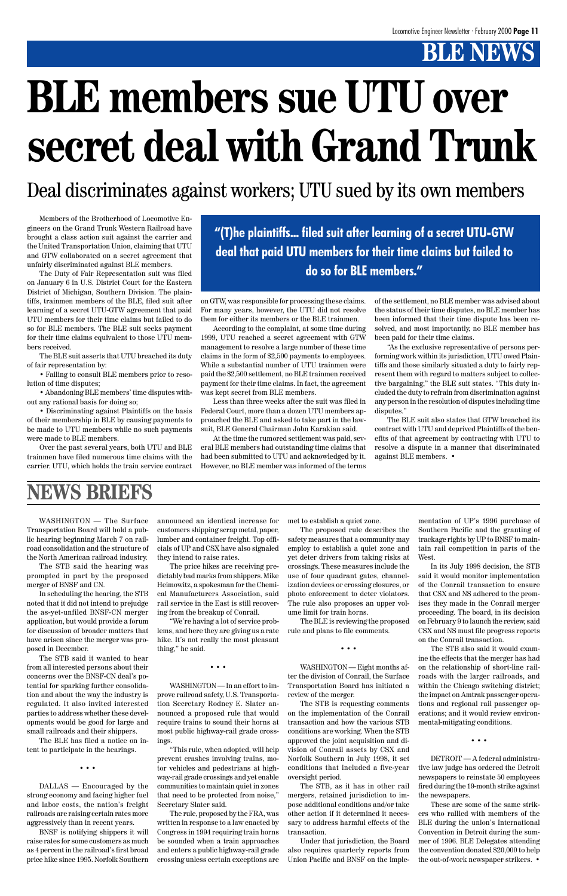## **BLE members sue UTU over secret deal with Grand Trunk**

WASHINGTON — The Surface Transportation Board will hold a public hearing beginning March 7 on railroad consolidation and the structure of the North American railroad industry.

The STB said the hearing was prompted in part by the proposed merger of BNSF and CN.

In scheduling the hearing, the STB noted that it did not intend to prejudge the as-yet-unfiled BNSF-CN merger application, but would provide a forum for discussion of broader matters that have arisen since the merger was proposed in December.

The STB said it wanted to hear from all interested persons about their concerns over the BNSF-CN deal's potential for sparking further consolidation and about the way the industry is regulated. It also invited interested parties to address whether these developments would be good for large and small railroads and their shippers.

The BLE has filed a notice on intent to participate in the hearings.

• • •

DALLAS — Encouraged by the strong economy and facing higher fuel and labor costs, the nation's freight railroads are raising certain rates more aggressively than in recent years.

BNSF is notifying shippers it will raise rates for some customers as much as 4 percent in the railroad's first broad price hike since 1995. Norfolk Southern announced an identical increase for customers shipping scrap metal, paper, lumber and container freight. Top officials of UP and CSX have also signaled they intend to raise rates.

The price hikes are receiving predictably bad marks from shippers. Mike Heimowitz, a spokesman for the Chemical Manufacturers Association, said rail service in the East is still recovering from the breakup of Conrail.

"We're having a lot of service problems, and here they are giving us a rate hike. It's not really the most pleasant thing," he said.

• • •

WASHINGTON — In an effort to improve railroad safety, U.S. Transportation Secretary Rodney E. Slater announced a proposed rule that would require trains to sound their horns at most public highway-rail grade crossings.

"This rule, when adopted, will help prevent crashes involving trains, motor vehicles and pedestrians at highway-rail grade crossings and yet enable communities to maintain quiet in zones that need to be protected from noise," Secretary Slater said.

The rule, proposed by the FRA, was written in response to a law enacted by Congress in 1994 requiring train horns be sounded when a train approaches and enters a public highway-rail grade crossing unless certain exceptions are met to establish a quiet zone.

The proposed rule describes the safety measures that a community may employ to establish a quiet zone and yet deter drivers from taking risks at crossings. These measures include the use of four quadrant gates, channelization devices or crossing closures, or photo enforcement to deter violators. The rule also proposes an upper volume limit for train horns.

The BLE is reviewing the proposed rule and plans to file comments.

• • •

WASHINGTON — Eight months after the division of Conrail, the Surface Transportation Board has initiated a review of the merger.

The STB is requesting comments on the implementation of the Conrail transaction and how the various STB conditions are working. When the STB approved the joint acquisition and division of Conrail assets by CSX and Norfolk Southern in July 1998, it set conditions that included a five-year oversight period.

The STB, as it has in other rail mergers, retained jurisdiction to impose additional conditions and/or take other action if it determined it necessary to address harmful effects of the transaction.

Under that jurisdiction, the Board also requires quarterly reports from Union Pacific and BNSF on the implementation of UP's 1996 purchase of Southern Pacific and the granting of trackage rights by UP to BNSF to maintain rail competition in parts of the West.

In its July 1998 decision, the STB said it would monitor implementation of the Conrail transaction to ensure that CSX and NS adhered to the promises they made in the Conrail merger proceeding. The board, in its decision on February 9 to launch the review, said CSX and NS must file progress reports on the Conrail transaction.

The STB also said it would examine the effects that the merger has had on the relationship of short-line railroads with the larger railroads, and within the Chicago switching district; the impact on Amtrak passenger operations and regional rail passenger operations; and it would review environmental-mitigating conditions.

• • •

DETROIT — A federal administrative law judge has ordered the Detroit newspapers to reinstate 50 employees fired during the 19-month strike against the newspapers.

These are some of the same strikers who rallied with members of the BLE during the union's International Convention in Detroit during the summer of 1996. BLE Delegates attending the convention donated \$20,000 to help the out-of-work newspaper strikers. •

### **NEWS BRIEFS**

Members of the Brotherhood of Locomotive Engineers on the Grand Trunk Western Railroad have brought a class action suit against the carrier and the United Transportation Union, claiming that UTU and GTW collaborated on a secret agreement that unfairly discriminated against BLE members.

The Duty of Fair Representation suit was filed on January 6 in U.S. District Court for the Eastern District of Michigan, Southern Division. The plaintiffs, trainmen members of the BLE, filed suit after learning of a secret UTU-GTW agreement that paid UTU members for their time claims but failed to do so for BLE members. The BLE suit seeks payment for their time claims equivalent to those UTU members received.

The BLE suit asserts that UTU breached its duty of fair representation by:

• Failing to consult BLE members prior to resolution of time disputes;

• Abandoning BLE members' time disputes without any rational basis for doing so;

• Discriminating against Plaintiffs on the basis of their membership in BLE by causing payments to be made to UTU members while no such payments were made to BLE members.

Over the past several years, both UTU and BLE trainmen have filed numerous time claims with the carrier. UTU, which holds the train service contract on GTW, was responsible for processing these claims. For many years, however, the UTU did not resolve them for either its members or the BLE trainmen.

According to the complaint, at some time during 1999, UTU reached a secret agreement with GTW management to resolve a large number of these time claims in the form of \$2,500 payments to employees. While a substantial number of UTU trainmen were paid the \$2,500 settlement, no BLE trainmen received payment for their time claims. In fact, the agreement was kept secret from BLE members.

Less than three weeks after the suit was filed in Federal Court, more than a dozen UTU members approached the BLE and asked to take part in the lawsuit, BLE General Chairman John Karakian said.

At the time the rumored settlement was paid, several BLE members had outstanding time claims that had been submitted to UTU and acknowledged by it. However, no BLE member was informed of the terms

of the settlement, no BLE member was advised about the status of their time disputes, no BLE member has been informed that their time dispute has been resolved, and most importantly, no BLE member has been paid for their time claims.

"As the exclusive representative of persons performing work within its jurisdiction, UTU owed Plaintiffs and those similarly situated a duty to fairly represent them with regard to matters subject to collective bargaining," the BLE suit states. "This duty included the duty to refrain from discrimination against any person in the resolution of disputes including time disputes."

The BLE suit also states that GTW breached its contract with UTU and deprived Plaintiffs of the benefits of that agreement by contracting with UTU to resolve a dispute in a manner that discriminated against BLE members. •

Deal discriminates against workers; UTU sued by its own members

**"(T)he plaintiffs... filed suit after learning of a secret UTU-GTW deal that paid UTU members for their time claims but failed to do so for BLE members."**